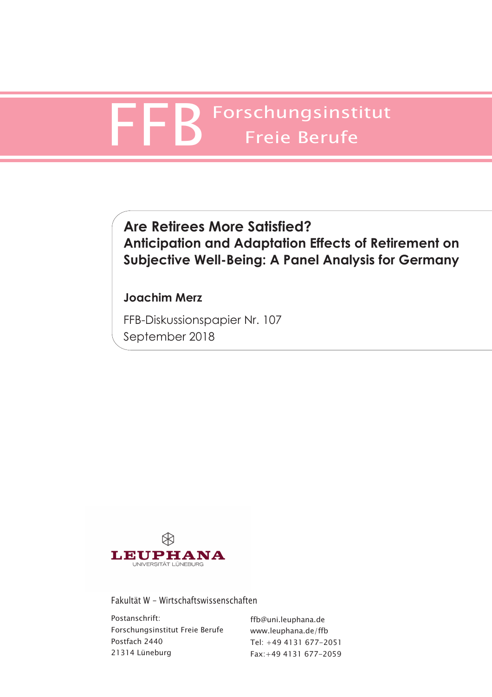# Forschungsinstitut Freie Berufe

# **Are Retirees More Satisfied? Anticipation and Adaptation Effects of Retirement on Subjective Well-Being: A Panel Analysis for Germany**

# **Joachim Merz**

FFB-Diskussionspapier Nr. 107 September 2018



Fakultät W - Wirtschaftswissenschaften

Postanschrift: Forschungsinstitut Freie Berufe Postfach 2440 21314 Lüneburg

ffb@uni.leuphana.de www.leuphana.de/ffb Tel: +49 4131 677-2051 Fax:+49 4131 677-2059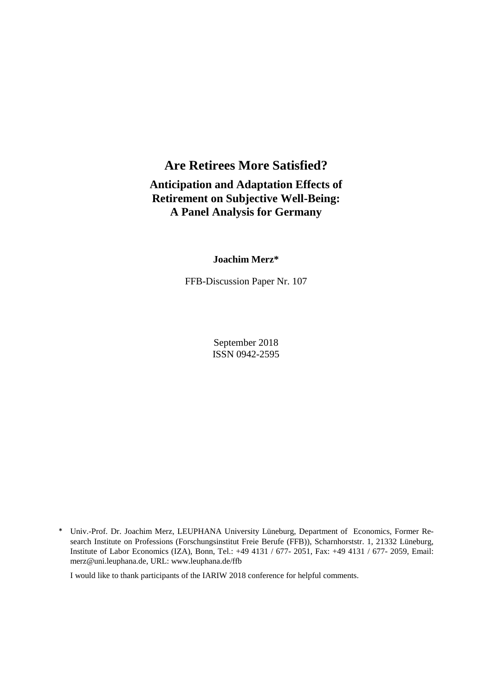# **Are Retirees More Satisfied?**

# **Anticipation and Adaptation Effects of Retirement on Subjective Well-Being: A Panel Analysis for Germany**

## **Joachim Merz\***

FFB-Discussion Paper Nr. 107

September 2018 ISSN 0942-2595

I would like to thank participants of the IARIW 2018 conference for helpful comments.

<sup>\*</sup> Univ.-Prof. Dr. Joachim Merz, LEUPHANA University Lüneburg, Department of Economics, Former Research Institute on Professions (Forschungsinstitut Freie Berufe (FFB)), Scharnhorststr. 1, 21332 Lüneburg, Institute of Labor Economics (IZA), Bonn, Tel.: +49 4131 / 677- 2051, Fax: +49 4131 / 677- 2059, Email: merz@uni.leuphana.de, URL: www.leuphana.de/ffb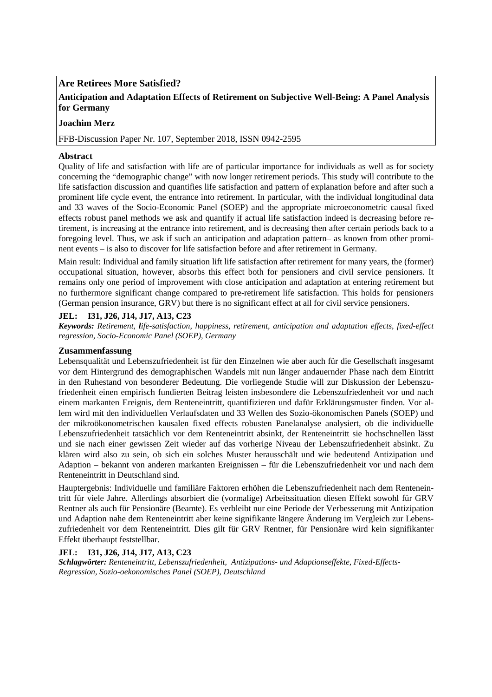## **Are Retirees More Satisfied?**

# **Anticipation and Adaptation Effects of Retirement on Subjective Well-Being: A Panel Analysis for Germany**

## **Joachim Merz**

FFB-Discussion Paper Nr. 107, September 2018, ISSN 0942-2595

#### **Abstract**

Quality of life and satisfaction with life are of particular importance for individuals as well as for society concerning the "demographic change" with now longer retirement periods. This study will contribute to the life satisfaction discussion and quantifies life satisfaction and pattern of explanation before and after such a prominent life cycle event, the entrance into retirement. In particular, with the individual longitudinal data and 33 waves of the Socio-Economic Panel (SOEP) and the appropriate microeconometric causal fixed effects robust panel methods we ask and quantify if actual life satisfaction indeed is decreasing before retirement, is increasing at the entrance into retirement, and is decreasing then after certain periods back to a foregoing level. Thus, we ask if such an anticipation and adaptation pattern– as known from other prominent events – is also to discover for life satisfaction before and after retirement in Germany.

Main result: Individual and family situation lift life satisfaction after retirement for many years, the (former) occupational situation, however, absorbs this effect both for pensioners and civil service pensioners. It remains only one period of improvement with close anticipation and adaptation at entering retirement but no furthermore significant change compared to pre-retirement life satisfaction. This holds for pensioners (German pension insurance, GRV) but there is no significant effect at all for civil service pensioners.

#### **JEL: I31, J26, J14, J17, A13, C23**

*Keywords: Retirement, life-satisfaction, happiness, retirement, anticipation and adaptation effects, fixed-effect regression, Socio-Economic Panel (SOEP), Germany* 

#### **Zusammenfassung**

Lebensqualität und Lebenszufriedenheit ist für den Einzelnen wie aber auch für die Gesellschaft insgesamt vor dem Hintergrund des demographischen Wandels mit nun länger andauernder Phase nach dem Eintritt in den Ruhestand von besonderer Bedeutung. Die vorliegende Studie will zur Diskussion der Lebenszufriedenheit einen empirisch fundierten Beitrag leisten insbesondere die Lebenszufriedenheit vor und nach einem markanten Ereignis, dem Renteneintritt, quantifizieren und dafür Erklärungsmuster finden. Vor allem wird mit den individuellen Verlaufsdaten und 33 Wellen des Sozio-ökonomischen Panels (SOEP) und der mikroökonometrischen kausalen fixed effects robusten Panelanalyse analysiert, ob die individuelle Lebenszufriedenheit tatsächlich vor dem Renteneintritt absinkt, der Renteneintritt sie hochschnellen lässt und sie nach einer gewissen Zeit wieder auf das vorherige Niveau der Lebenszufriedenheit absinkt. Zu klären wird also zu sein, ob sich ein solches Muster herausschält und wie bedeutend Antizipation und Adaption – bekannt von anderen markanten Ereignissen – für die Lebenszufriedenheit vor und nach dem Renteneintritt in Deutschland sind.

Hauptergebnis: Individuelle und familiäre Faktoren erhöhen die Lebenszufriedenheit nach dem Renteneintritt für viele Jahre. Allerdings absorbiert die (vormalige) Arbeitssituation diesen Effekt sowohl für GRV Rentner als auch für Pensionäre (Beamte). Es verbleibt nur eine Periode der Verbesserung mit Antizipation und Adaption nahe dem Renteneintritt aber keine signifikante längere Änderung im Vergleich zur Lebenszufriedenheit vor dem Renteneintritt. Dies gilt für GRV Rentner, für Pensionäre wird kein signifikanter Effekt überhaupt feststellbar.

#### **JEL: I31, J26, J14, J17, A13, C23**

*Schlagwörter: Renteneintritt, Lebenszufriedenheit, Antizipations- und Adaptionseffekte, Fixed-Effects-Regression, Sozio-oekonomisches Panel (SOEP), Deutschland*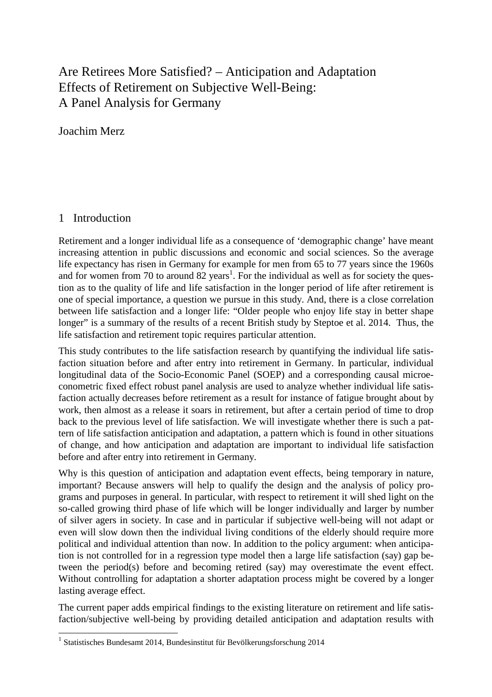# Are Retirees More Satisfied? – Anticipation and Adaptation Effects of Retirement on Subjective Well-Being: A Panel Analysis for Germany

Joachim Merz

# 1 Introduction

l

Retirement and a longer individual life as a consequence of 'demographic change' have meant increasing attention in public discussions and economic and social sciences. So the average life expectancy has risen in Germany for example for men from 65 to 77 years since the 1960s and for women from 70 to around  $82 \text{ years}^1$ . For the individual as well as for society the question as to the quality of life and life satisfaction in the longer period of life after retirement is one of special importance, a question we pursue in this study. And, there is a close correlation between life satisfaction and a longer life: "Older people who enjoy life stay in better shape longer" is a summary of the results of a recent British study by Steptoe et al. 2014. Thus, the life satisfaction and retirement topic requires particular attention.

This study contributes to the life satisfaction research by quantifying the individual life satisfaction situation before and after entry into retirement in Germany. In particular, individual longitudinal data of the Socio-Economic Panel (SOEP) and a corresponding causal microeconometric fixed effect robust panel analysis are used to analyze whether individual life satisfaction actually decreases before retirement as a result for instance of fatigue brought about by work, then almost as a release it soars in retirement, but after a certain period of time to drop back to the previous level of life satisfaction. We will investigate whether there is such a pattern of life satisfaction anticipation and adaptation, a pattern which is found in other situations of change, and how anticipation and adaptation are important to individual life satisfaction before and after entry into retirement in Germany.

Why is this question of anticipation and adaptation event effects, being temporary in nature, important? Because answers will help to qualify the design and the analysis of policy programs and purposes in general. In particular, with respect to retirement it will shed light on the so-called growing third phase of life which will be longer individually and larger by number of silver agers in society. In case and in particular if subjective well-being will not adapt or even will slow down then the individual living conditions of the elderly should require more political and individual attention than now. In addition to the policy argument: when anticipation is not controlled for in a regression type model then a large life satisfaction (say) gap between the period(s) before and becoming retired (say) may overestimate the event effect. Without controlling for adaptation a shorter adaptation process might be covered by a longer lasting average effect.

The current paper adds empirical findings to the existing literature on retirement and life satisfaction/subjective well-being by providing detailed anticipation and adaptation results with

<sup>1</sup> Statistisches Bundesamt 2014, Bundesinstitut für Bevölkerungsforschung 2014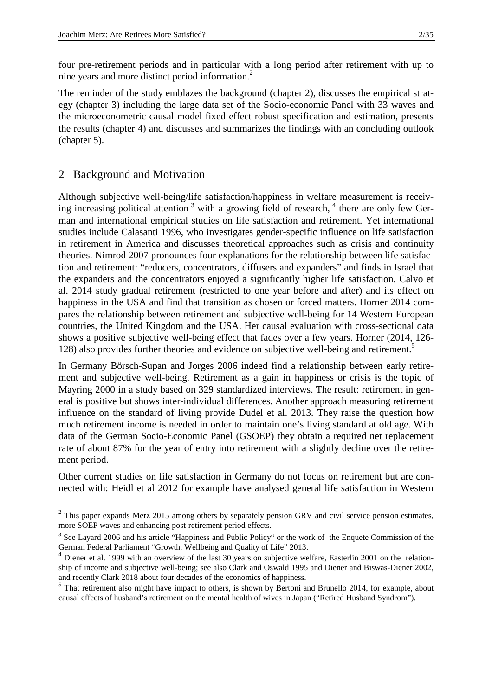four pre-retirement periods and in particular with a long period after retirement with up to nine years and more distinct period information.<sup>2</sup>

The reminder of the study emblazes the background (chapter 2), discusses the empirical strategy (chapter 3) including the large data set of the Socio-economic Panel with 33 waves and the microeconometric causal model fixed effect robust specification and estimation, presents the results (chapter 4) and discusses and summarizes the findings with an concluding outlook (chapter 5).

# 2 Background and Motivation

l

Although subjective well-being/life satisfaction/happiness in welfare measurement is receiving increasing political attention<sup>3</sup> with a growing field of research,  $4$  there are only few German and international empirical studies on life satisfaction and retirement. Yet international studies include Calasanti 1996, who investigates gender-specific influence on life satisfaction in retirement in America and discusses theoretical approaches such as crisis and continuity theories. Nimrod 2007 pronounces four explanations for the relationship between life satisfaction and retirement: "reducers, concentrators, diffusers and expanders" and finds in Israel that the expanders and the concentrators enjoyed a significantly higher life satisfaction. Calvo et al. 2014 study gradual retirement (restricted to one year before and after) and its effect on happiness in the USA and find that transition as chosen or forced matters. Horner 2014 compares the relationship between retirement and subjective well-being for 14 Western European countries, the United Kingdom and the USA. Her causal evaluation with cross-sectional data shows a positive subjective well-being effect that fades over a few years. Horner (2014, 126- 128) also provides further theories and evidence on subjective well-being and retirement.<sup>5</sup>

In Germany Börsch-Supan and Jorges 2006 indeed find a relationship between early retirement and subjective well-being. Retirement as a gain in happiness or crisis is the topic of Mayring 2000 in a study based on 329 standardized interviews. The result: retirement in general is positive but shows inter-individual differences. Another approach measuring retirement influence on the standard of living provide Dudel et al. 2013. They raise the question how much retirement income is needed in order to maintain one's living standard at old age. With data of the German Socio-Economic Panel (GSOEP) they obtain a required net replacement rate of about 87% for the year of entry into retirement with a slightly decline over the retirement period.

Other current studies on life satisfaction in Germany do not focus on retirement but are connected with: Heidl et al 2012 for example have analysed general life satisfaction in Western

 $2$  This paper expands Merz 2015 among others by separately pension GRV and civil service pension estimates, more SOEP waves and enhancing post-retirement period effects.

<sup>&</sup>lt;sup>3</sup> See Layard 2006 and his article "Happiness and Public Policy" or the work of the Enquete Commission of the German Federal Parliament "Growth, Wellbeing and Quality of Life" 2013.

<sup>&</sup>lt;sup>4</sup> Diener et al. 1999 with an overview of the last 30 years on subjective welfare, Easterlin 2001 on the relationship of income and subjective well-being; see also Clark and Oswald 1995 and Diener and Biswas-Diener 2002, and recently Clark 2018 about four decades of the economics of happiness.

<sup>&</sup>lt;sup>5</sup> That retirement also might have impact to others, is shown by Bertoni and Brunello 2014, for example, about causal effects of husband's retirement on the mental health of wives in Japan ("Retired Husband Syndrom").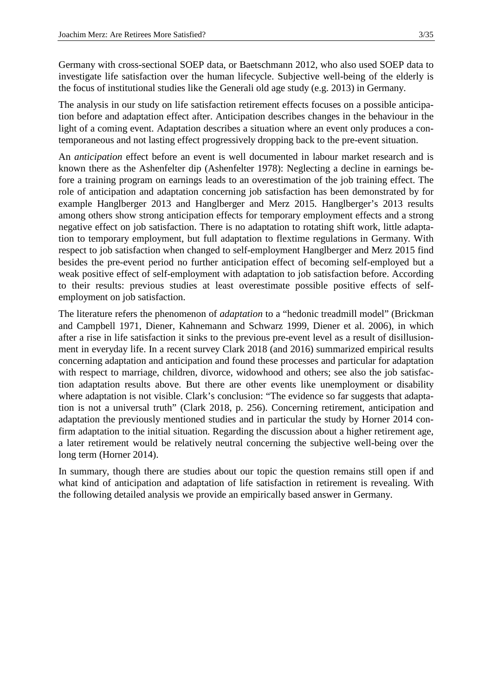Germany with cross-sectional SOEP data, or Baetschmann 2012, who also used SOEP data to investigate life satisfaction over the human lifecycle. Subjective well-being of the elderly is the focus of institutional studies like the Generali old age study (e.g. 2013) in Germany.

The analysis in our study on life satisfaction retirement effects focuses on a possible anticipation before and adaptation effect after. Anticipation describes changes in the behaviour in the light of a coming event. Adaptation describes a situation where an event only produces a contemporaneous and not lasting effect progressively dropping back to the pre-event situation.

An *anticipation* effect before an event is well documented in labour market research and is known there as the Ashenfelter dip (Ashenfelter 1978): Neglecting a decline in earnings before a training program on earnings leads to an overestimation of the job training effect. The role of anticipation and adaptation concerning job satisfaction has been demonstrated by for example Hanglberger 2013 and Hanglberger and Merz 2015. Hanglberger's 2013 results among others show strong anticipation effects for temporary employment effects and a strong negative effect on job satisfaction. There is no adaptation to rotating shift work, little adaptation to temporary employment, but full adaptation to flextime regulations in Germany. With respect to job satisfaction when changed to self-employment Hanglberger and Merz 2015 find besides the pre-event period no further anticipation effect of becoming self-employed but a weak positive effect of self-employment with adaptation to job satisfaction before. According to their results: previous studies at least overestimate possible positive effects of selfemployment on job satisfaction.

The literature refers the phenomenon of *adaptation* to a "hedonic treadmill model" (Brickman and Campbell 1971, Diener, Kahnemann and Schwarz 1999, Diener et al. 2006), in which after a rise in life satisfaction it sinks to the previous pre-event level as a result of disillusionment in everyday life. In a recent survey Clark 2018 (and 2016) summarized empirical results concerning adaptation and anticipation and found these processes and particular for adaptation with respect to marriage, children, divorce, widowhood and others; see also the job satisfaction adaptation results above. But there are other events like unemployment or disability where adaptation is not visible. Clark's conclusion: "The evidence so far suggests that adaptation is not a universal truth" (Clark 2018, p. 256). Concerning retirement, anticipation and adaptation the previously mentioned studies and in particular the study by Horner 2014 confirm adaptation to the initial situation. Regarding the discussion about a higher retirement age, a later retirement would be relatively neutral concerning the subjective well-being over the long term (Horner 2014).

In summary, though there are studies about our topic the question remains still open if and what kind of anticipation and adaptation of life satisfaction in retirement is revealing. With the following detailed analysis we provide an empirically based answer in Germany.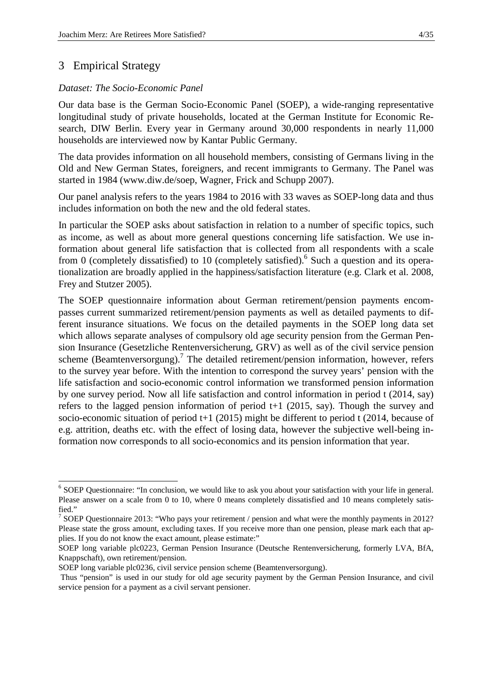# 3 Empirical Strategy

l

#### *Dataset: The Socio-Economic Panel*

Our data base is the German Socio-Economic Panel (SOEP), a wide-ranging representative longitudinal study of private households, located at the German Institute for Economic Research, DIW Berlin. Every year in Germany around 30,000 respondents in nearly 11,000 households are interviewed now by Kantar Public Germany.

The data provides information on all household members, consisting of Germans living in the Old and New German States, foreigners, and recent immigrants to Germany. The Panel was started in 1984 (www.diw.de/soep, Wagner, Frick and Schupp 2007).

Our panel analysis refers to the years 1984 to 2016 with 33 waves as SOEP-long data and thus includes information on both the new and the old federal states.

In particular the SOEP asks about satisfaction in relation to a number of specific topics, such as income, as well as about more general questions concerning life satisfaction. We use information about general life satisfaction that is collected from all respondents with a scale from 0 (completely dissatisfied) to 10 (completely satisfied).<sup>6</sup> Such a question and its operationalization are broadly applied in the happiness/satisfaction literature (e.g. Clark et al. 2008, Frey and Stutzer 2005).

The SOEP questionnaire information about German retirement/pension payments encompasses current summarized retirement/pension payments as well as detailed payments to different insurance situations. We focus on the detailed payments in the SOEP long data set which allows separate analyses of compulsory old age security pension from the German Pension Insurance (Gesetzliche Rentenversicherung, GRV) as well as of the civil service pension scheme (Beamtenversorgung).<sup>7</sup> The detailed retirement/pension information, however, refers to the survey year before. With the intention to correspond the survey years' pension with the life satisfaction and socio-economic control information we transformed pension information by one survey period. Now all life satisfaction and control information in period t (2014, say) refers to the lagged pension information of period t+1 (2015, say). Though the survey and socio-economic situation of period t+1 (2015) might be different to period t (2014, because of e.g. attrition, deaths etc. with the effect of losing data, however the subjective well-being information now corresponds to all socio-economics and its pension information that year.

<sup>&</sup>lt;sup>6</sup> SOEP Questionnaire: "In conclusion, we would like to ask you about your satisfaction with your life in general. Please answer on a scale from 0 to 10, where 0 means completely dissatisfied and 10 means completely satisfied."

<sup>&</sup>lt;sup>7</sup> SOEP Questionnaire 2013: "Who pays your retirement / pension and what were the monthly payments in 2012? Please state the gross amount, excluding taxes. If you receive more than one pension, please mark each that applies. If you do not know the exact amount, please estimate:"

SOEP long variable plc0223, German Pension Insurance (Deutsche Rentenversicherung, formerly LVA, BfA, Knappschaft), own retirement/pension.

SOEP long variable plc0236, civil service pension scheme (Beamtenversorgung).

Thus "pension" is used in our study for old age security payment by the German Pension Insurance, and civil service pension for a payment as a civil servant pensioner.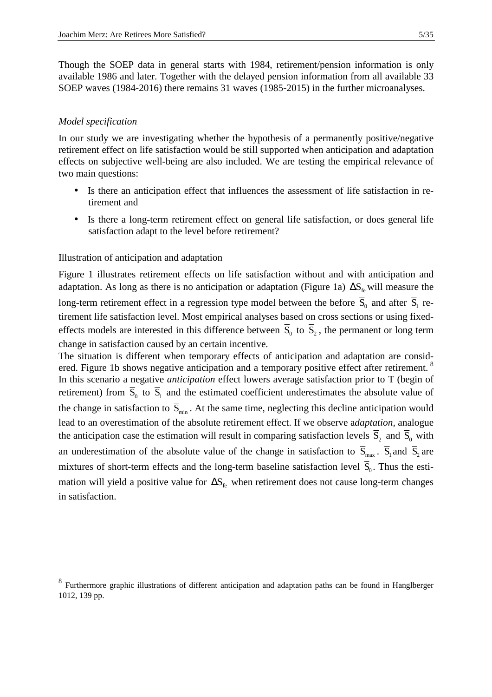Though the SOEP data in general starts with 1984, retirement/pension information is only available 1986 and later. Together with the delayed pension information from all available 33 SOEP waves (1984-2016) there remains 31 waves (1985-2015) in the further microanalyses.

#### *Model specification*

-

In our study we are investigating whether the hypothesis of a permanently positive/negative retirement effect on life satisfaction would be still supported when anticipation and adaptation effects on subjective well-being are also included. We are testing the empirical relevance of two main questions:

- Is there an anticipation effect that influences the assessment of life satisfaction in retirement and
- Is there a long-term retirement effect on general life satisfaction, or does general life satisfaction adapt to the level before retirement?

#### Illustration of anticipation and adaptation

Figure 1 illustrates retirement effects on life satisfaction without and with anticipation and adaptation. As long as there is no anticipation or adaptation (Figure 1a)  $\Delta S_f$  will measure the long-term retirement effect in a regression type model between the before  $S_0$  and after  $S_1$  retirement life satisfaction level. Most empirical analyses based on cross sections or using fixedeffects models are interested in this difference between  $S_0$  to  $S_2$ , the permanent or long term change in satisfaction caused by an certain incentive.

The situation is different when temporary effects of anticipation and adaptation are considered. Figure 1b shows negative anticipation and a temporary positive effect after retirement.<sup>8</sup> In this scenario a negative *anticipation* effect lowers average satisfaction prior to T (begin of retirement) from  $S_0$  to  $S_1$  and the estimated coefficient underestimates the absolute value of the change in satisfaction to  $\overline{S}_{min}$ . At the same time, neglecting this decline anticipation would lead to an overestimation of the absolute retirement effect. If we observe a*daptation,* analogue the anticipation case the estimation will result in comparing satisfaction levels  $S_2$  and  $S_0$  with an underestimation of the absolute value of the change in satisfaction to  $S_{max}$ .  $S_1$  and  $S_2$  are mixtures of short-term effects and the long-term baseline satisfaction level  $S_0$ . Thus the estimation will yield a positive value for  $\Delta S_f$  when retirement does not cause long-term changes in satisfaction.

<sup>&</sup>lt;sup>8</sup> Furthermore graphic illustrations of different anticipation and adaptation paths can be found in Hanglberger 1012, 139 pp.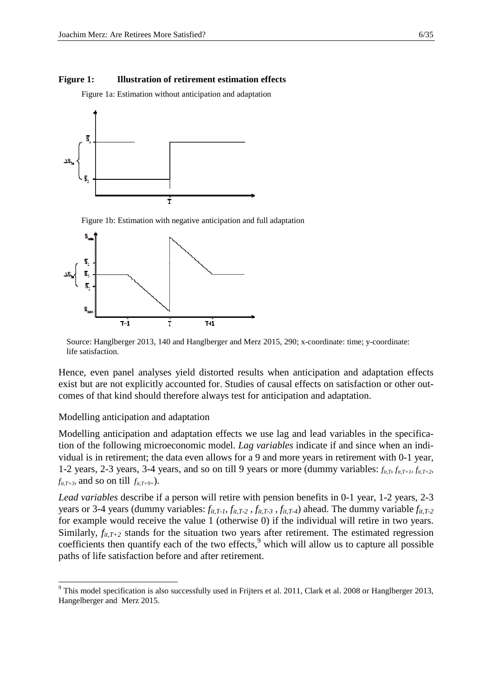#### **Figure 1: Illustration of retirement estimation effects**

Figure 1a: Estimation without anticipation and adaptation



Figure 1b: Estimation with negative anticipation and full adaptation



Source: Hanglberger 2013, 140 and Hanglberger and Merz 2015, 290; x-coordinate: time; y-coordinate: life satisfaction.

Hence, even panel analyses yield distorted results when anticipation and adaptation effects exist but are not explicitly accounted for. Studies of causal effects on satisfaction or other outcomes of that kind should therefore always test for anticipation and adaptation.

#### Modelling anticipation and adaptation

l

Modelling anticipation and adaptation effects we use lag and lead variables in the specification of the following microeconomic model. *Lag variables* indicate if and since when an individual is in retirement; the data even allows for a 9 and more years in retirement with 0-1 year, 1-2 years, 2-3 years, 3-4 years, and so on till 9 years or more (dummy variables:  $f_{it,T}$ ,  $f_{it,T+1}$ ,  $f_{it,T+2}$  $f_{it,T+3}$ *,* and so on till  $f_{it,T+9+}$ ).

*Lead variables* describe if a person will retire with pension benefits in 0-1 year, 1-2 years, 2-3 years or 3-4 years (dummy variables: *fit,T-1, fit,T-2 , fit,T-3 , fit,T-4*) ahead. The dummy variable *fit,T-2* for example would receive the value 1 (otherwise 0) if the individual will retire in two years. Similarly,  $f_{it,T+2}$  stands for the situation two years after retirement. The estimated regression coefficients then quantify each of the two effects,<sup>9</sup> which will allow us to capture all possible paths of life satisfaction before and after retirement.

 $9$  This model specification is also successfully used in Frijters et al. 2011, Clark et al. 2008 or Hanglberger 2013, Hangelberger and Merz 2015.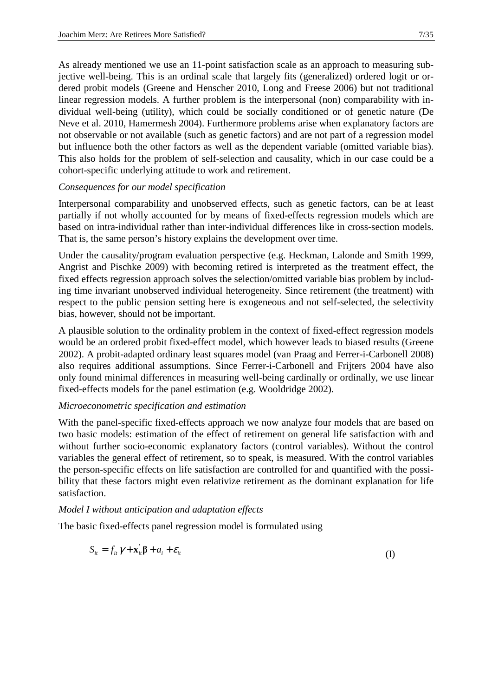As already mentioned we use an 11-point satisfaction scale as an approach to measuring subjective well-being. This is an ordinal scale that largely fits (generalized) ordered logit or ordered probit models (Greene and Henscher 2010, Long and Freese 2006) but not traditional linear regression models. A further problem is the interpersonal (non) comparability with individual well-being (utility), which could be socially conditioned or of genetic nature (De Neve et al. 2010, Hamermesh 2004). Furthermore problems arise when explanatory factors are not observable or not available (such as genetic factors) and are not part of a regression model but influence both the other factors as well as the dependent variable (omitted variable bias). This also holds for the problem of self-selection and causality, which in our case could be a cohort-specific underlying attitude to work and retirement.

# *Consequences for our model specification*

Interpersonal comparability and unobserved effects, such as genetic factors, can be at least partially if not wholly accounted for by means of fixed-effects regression models which are based on intra-individual rather than inter-individual differences like in cross-section models. That is, the same person's history explains the development over time.

Under the causality/program evaluation perspective (e.g. Heckman, Lalonde and Smith 1999, Angrist and Pischke 2009) with becoming retired is interpreted as the treatment effect, the fixed effects regression approach solves the selection/omitted variable bias problem by including time invariant unobserved individual heterogeneity. Since retirement (the treatment) with respect to the public pension setting here is exogeneous and not self-selected, the selectivity bias, however, should not be important.

A plausible solution to the ordinality problem in the context of fixed-effect regression models would be an ordered probit fixed-effect model, which however leads to biased results (Greene 2002). A probit-adapted ordinary least squares model (van Praag and Ferrer-i-Carbonell 2008) also requires additional assumptions. Since Ferrer-i-Carbonell and Frijters 2004 have also only found minimal differences in measuring well-being cardinally or ordinally, we use linear fixed-effects models for the panel estimation (e.g. Wooldridge 2002).

# *Microeconometric specification and estimation*

With the panel-specific fixed-effects approach we now analyze four models that are based on two basic models: estimation of the effect of retirement on general life satisfaction with and without further socio-economic explanatory factors (control variables). Without the control variables the general effect of retirement, so to speak, is measured. With the control variables the person-specific effects on life satisfaction are controlled for and quantified with the possibility that these factors might even relativize retirement as the dominant explanation for life satisfaction.

# *Model I without anticipation and adaptation effects*

1

The basic fixed-effects panel regression model is formulated using

$$
S_{ii} = f_{ii} \gamma + \mathbf{x}_{ii} \mathbf{\beta} + a_i + \varepsilon_{ii}
$$
 (I)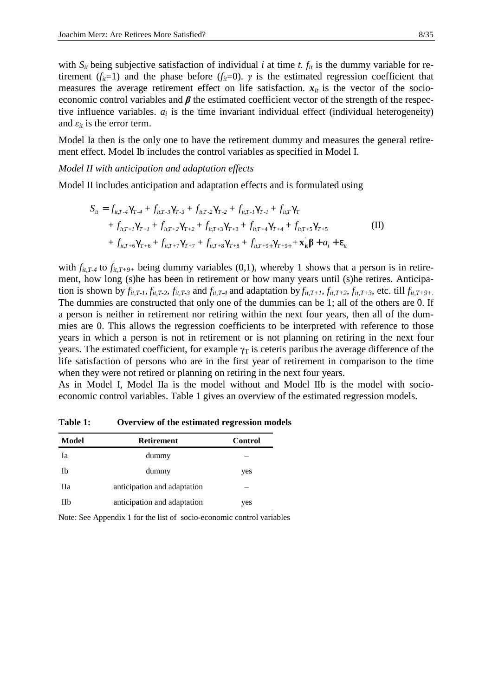with  $S_{it}$  being subjective satisfaction of individual *i* at time *t.*  $f_{it}$  is the dummy variable for retirement ( $f_{ii}=1$ ) and the phase before ( $f_{ii}=0$ ).  $\gamma$  is the estimated regression coefficient that measures the average retirement effect on life satisfaction.  $x_{it}$  is the vector of the socioeconomic control variables and  $\beta$  the estimated coefficient vector of the strength of the respective influence variables.  $a_i$  is the time invariant individual effect (individual heterogeneity) and  $\varepsilon_{it}$  is the error term.

Model Ia then is the only one to have the retirement dummy and measures the general retirement effect. Model Ib includes the control variables as specified in Model I.

*Model II with anticipation and adaptation effects* 

Model II includes anticipation and adaptation effects and is formulated using

$$
S_{it} = f_{it,T-4} \gamma_{T-4} + f_{it,T-3} \gamma_{T-3} + f_{it,T-2} \gamma_{T-2} + f_{it,T-1} \gamma_{T-1} + f_{it,T} \gamma_T + f_{it,T+1} \gamma_{T+1} + f_{it,T+2} \gamma_{T+2} + f_{it,T+3} \gamma_{T+3} + f_{it,T+4} \gamma_{T+4} + f_{it,T+5} \gamma_{T+5} + f_{it,T+6} \gamma_{T+6} + f_{it,T+7} \gamma_{T+7} + f_{it,T+8} \gamma_{T+8} + f_{it,T+9+} \gamma_{T+9+} + \mathbf{x}_{it} \beta + a_i + \varepsilon_{it}
$$
\n(II)

with  $f_{it,T}$ -4 to  $f_{it,T+9+}$  being dummy variables (0,1), whereby 1 shows that a person is in retirement, how long (s)he has been in retirement or how many years until (s)he retires. Anticipation is shown by  $f_{it,T}$ ,  $f_{it,T}$ ,  $f_{it,T}$ , and  $f_{it,T}$ , and adaptation by  $f_{it,T+1}$ ,  $f_{it,T+2}$ ,  $f_{it,T+3}$ , etc. till  $f_{it,T+9+}$ . The dummies are constructed that only one of the dummies can be 1; all of the others are 0. If a person is neither in retirement nor retiring within the next four years, then all of the dummies are 0. This allows the regression coefficients to be interpreted with reference to those years in which a person is not in retirement or is not planning on retiring in the next four years. The estimated coefficient, for example  $\gamma_T$  is ceteris paribus the average difference of the life satisfaction of persons who are in the first year of retirement in comparison to the time when they were not retired or planning on retiring in the next four years.

As in Model I, Model IIa is the model without and Model IIb is the model with socioeconomic control variables. Table 1 gives an overview of the estimated regression models.

| Model | <b>Retirement</b>           | Control |
|-------|-----------------------------|---------|
| Ia    | dummy                       |         |
| Ib    | dummy                       | yes     |
| Пa    | anticipation and adaptation |         |
| Пh    | anticipation and adaptation | yes     |

**Table 1: Overview of the estimated regression models** 

Note: See Appendix 1 for the list of socio-economic control variables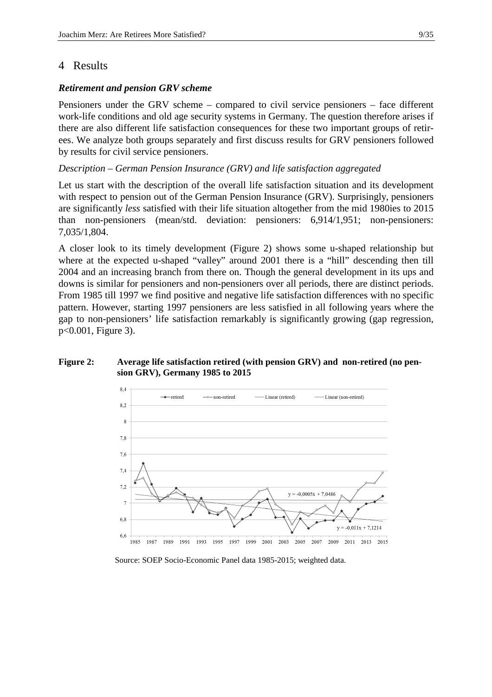# 4 Results

#### *Retirement and pension GRV scheme*

 $7s$ 

 $7.\epsilon$ 74  $7.2$ 

 $6.8$ 

 $6,6$ 1985 1987 1989

Pensioners under the GRV scheme – compared to civil service pensioners – face different work-life conditions and old age security systems in Germany. The question therefore arises if there are also different life satisfaction consequences for these two important groups of retirees. We analyze both groups separately and first discuss results for GRV pensioners followed by results for civil service pensioners.

## *Description – German Pension Insurance (GRV) and life satisfaction aggregated*

Let us start with the description of the overall life satisfaction situation and its development with respect to pension out of the German Pension Insurance (GRV). Surprisingly, pensioners are significantly *less* satisfied with their life situation altogether from the mid 1980ies to 2015 than non-pensioners (mean/std. deviation: pensioners: 6,914/1,951; non-pensioners: 7,035/1,804.

A closer look to its timely development (Figure 2) shows some u-shaped relationship but where at the expected u-shaped "valley" around 2001 there is a "hill" descending then till 2004 and an increasing branch from there on. Though the general development in its ups and downs is similar for pensioners and non-pensioners over all periods, there are distinct periods. From 1985 till 1997 we find positive and negative life satisfaction differences with no specific pattern. However, starting 1997 pensioners are less satisfied in all following years where the gap to non-pensioners' life satisfaction remarkably is significantly growing (gap regression, p<0.001, Figure 3).

#### **sion GRV), Germany 1985 to 2015**  84  $\rightarrow$ -retired  $-$  non-retired -Linear (retired) Linear (non-retired) 8.2  $\mathcal{S}$



 $v = -0.0005x + 7.0486$ 

2005

2001 2003

 $\overline{v}$ 

2007 2009 2011 2013 2015

 $-0.011x + 7.1214$ 

Source: SOEP Socio-Economic Panel data 1985-2015; weighted data.

1995 1997 1999

1991 1993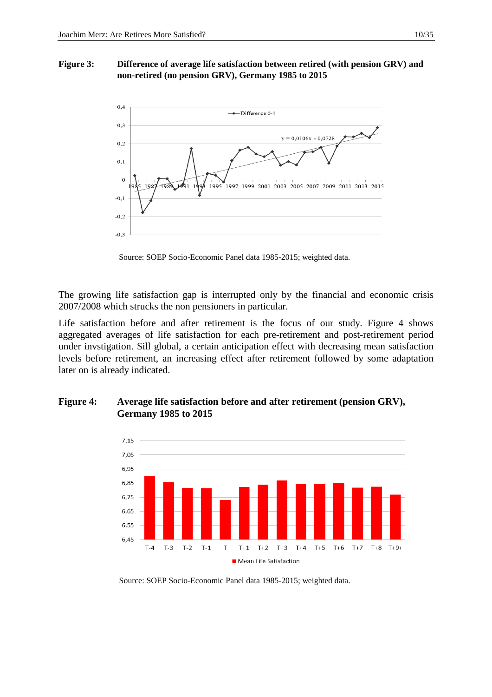#### **Figure 3: Difference of average life satisfaction between retired (with pension GRV) and non-retired (no pension GRV), Germany 1985 to 2015**



Source: SOEP Socio-Economic Panel data 1985-2015; weighted data.

The growing life satisfaction gap is interrupted only by the financial and economic crisis 2007/2008 which strucks the non pensioners in particular.

Life satisfaction before and after retirement is the focus of our study. Figure 4 shows aggregated averages of life satisfaction for each pre-retirement and post-retirement period under invstigation. Sill global, a certain anticipation effect with decreasing mean satisfaction levels before retirement, an increasing effect after retirement followed by some adaptation later on is already indicated.

# Figure 4: Average life satisfaction before and after retirement (pension GRV), **Germany 1985 to 2015**



Source: SOEP Socio-Economic Panel data 1985-2015; weighted data.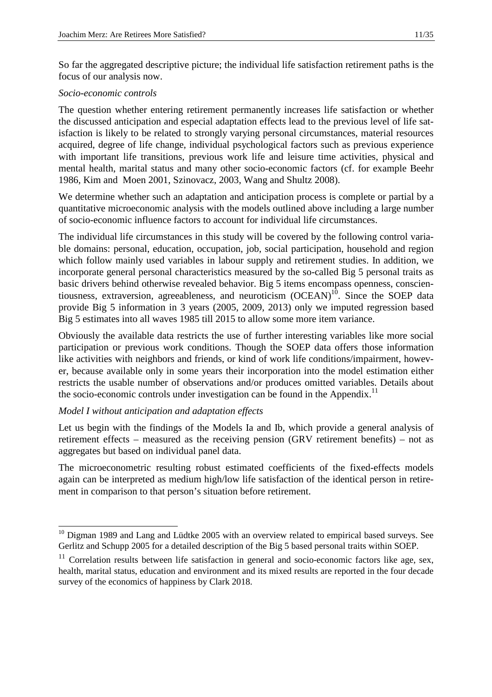So far the aggregated descriptive picture; the individual life satisfaction retirement paths is the focus of our analysis now.

# *Socio-economic controls*

The question whether entering retirement permanently increases life satisfaction or whether the discussed anticipation and especial adaptation effects lead to the previous level of life satisfaction is likely to be related to strongly varying personal circumstances, material resources acquired, degree of life change, individual psychological factors such as previous experience with important life transitions, previous work life and leisure time activities, physical and mental health, marital status and many other socio-economic factors (cf. for example Beehr 1986, Kim and Moen 2001, Szinovacz, 2003, Wang and Shultz 2008).

We determine whether such an adaptation and anticipation process is complete or partial by a quantitative microeconomic analysis with the models outlined above including a large number of socio-economic influence factors to account for individual life circumstances.

The individual life circumstances in this study will be covered by the following control variable domains: personal, education, occupation, job, social participation, household and region which follow mainly used variables in labour supply and retirement studies. In addition, we incorporate general personal characteristics measured by the so-called Big 5 personal traits as basic drivers behind otherwise revealed behavior. Big 5 items encompass openness, conscientiousness, extraversion, agreeableness, and neuroticism  $(OCEAN)^{10}$ . Since the SOEP data provide Big 5 information in 3 years (2005, 2009, 2013) only we imputed regression based Big 5 estimates into all waves 1985 till 2015 to allow some more item variance.

Obviously the available data restricts the use of further interesting variables like more social participation or previous work conditions. Though the SOEP data offers those information like activities with neighbors and friends, or kind of work life conditions/impairment, however, because available only in some years their incorporation into the model estimation either restricts the usable number of observations and/or produces omitted variables. Details about the socio-economic controls under investigation can be found in the Appendix.<sup>11</sup>

# *Model I without anticipation and adaptation effects*

l

Let us begin with the findings of the Models Ia and Ib, which provide a general analysis of retirement effects – measured as the receiving pension (GRV retirement benefits) – not as aggregates but based on individual panel data.

The microeconometric resulting robust estimated coefficients of the fixed-effects models again can be interpreted as medium high/low life satisfaction of the identical person in retirement in comparison to that person's situation before retirement.

 $10$  Digman 1989 and Lang and Lüdtke 2005 with an overview related to empirical based surveys. See Gerlitz and Schupp 2005 for a detailed description of the Big 5 based personal traits within SOEP.

 $11$  Correlation results between life satisfaction in general and socio-economic factors like age, sex, health, marital status, education and environment and its mixed results are reported in the four decade survey of the economics of happiness by Clark 2018.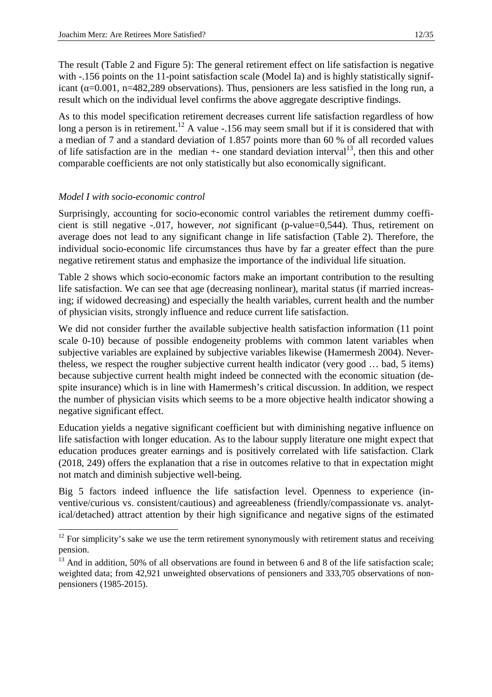The result (Table 2 and Figure 5): The general retirement effect on life satisfaction is negative with -.156 points on the 11-point satisfaction scale (Model Ia) and is highly statistically significant ( $\alpha$ =0.001, n=482,289 observations). Thus, pensioners are less satisfied in the long run, a result which on the individual level confirms the above aggregate descriptive findings.

As to this model specification retirement decreases current life satisfaction regardless of how long a person is in retirement.<sup>12</sup> A value -.156 may seem small but if it is considered that with a median of 7 and a standard deviation of 1.857 points more than 60 % of all recorded values of life satisfaction are in the median  $+$ - one standard deviation interval<sup>13</sup>, then this and other comparable coefficients are not only statistically but also economically significant.

# *Model I with socio-economic control*

-

Surprisingly, accounting for socio-economic control variables the retirement dummy coefficient is still negative -.017, however, *not* significant (p-value=0,544). Thus, retirement on average does not lead to any significant change in life satisfaction (Table 2). Therefore, the individual socio-economic life circumstances thus have by far a greater effect than the pure negative retirement status and emphasize the importance of the individual life situation.

Table 2 shows which socio-economic factors make an important contribution to the resulting life satisfaction. We can see that age (decreasing nonlinear), marital status (if married increasing; if widowed decreasing) and especially the health variables, current health and the number of physician visits, strongly influence and reduce current life satisfaction.

We did not consider further the available subjective health satisfaction information (11 point scale 0-10) because of possible endogeneity problems with common latent variables when subjective variables are explained by subjective variables likewise (Hamermesh 2004). Nevertheless, we respect the rougher subjective current health indicator (very good … bad, 5 items) because subjective current health might indeed be connected with the economic situation (despite insurance) which is in line with Hamermesh's critical discussion. In addition, we respect the number of physician visits which seems to be a more objective health indicator showing a negative significant effect.

Education yields a negative significant coefficient but with diminishing negative influence on life satisfaction with longer education. As to the labour supply literature one might expect that education produces greater earnings and is positively correlated with life satisfaction. Clark (2018, 249) offers the explanation that a rise in outcomes relative to that in expectation might not match and diminish subjective well-being.

Big 5 factors indeed influence the life satisfaction level. Openness to experience (inventive/curious vs. consistent/cautious) and agreeableness (friendly/compassionate vs. analytical/detached) attract attention by their high significance and negative signs of the estimated

 $12$  For simplicity's sake we use the term retirement synonymously with retirement status and receiving pension.

<sup>&</sup>lt;sup>13</sup> And in addition, 50% of all observations are found in between 6 and 8 of the life satisfaction scale; weighted data; from 42,921 unweighted observations of pensioners and 333,705 observations of nonpensioners (1985-2015).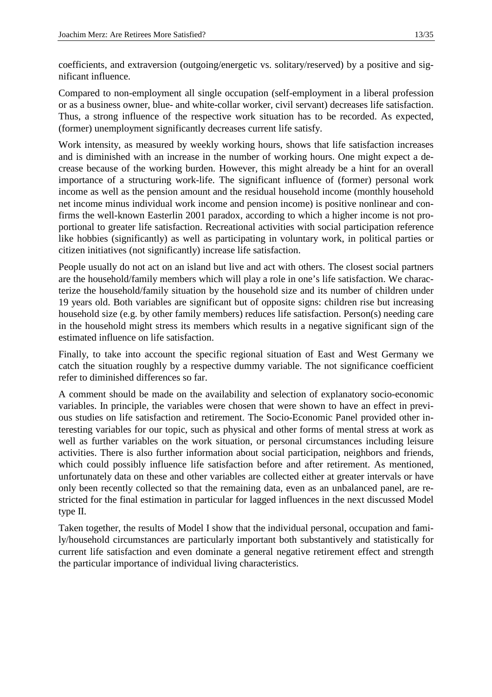coefficients, and extraversion (outgoing/energetic vs. solitary/reserved) by a positive and significant influence.

Compared to non-employment all single occupation (self-employment in a liberal profession or as a business owner, blue- and white-collar worker, civil servant) decreases life satisfaction. Thus, a strong influence of the respective work situation has to be recorded. As expected, (former) unemployment significantly decreases current life satisfy.

Work intensity, as measured by weekly working hours, shows that life satisfaction increases and is diminished with an increase in the number of working hours. One might expect a decrease because of the working burden. However, this might already be a hint for an overall importance of a structuring work-life. The significant influence of (former) personal work income as well as the pension amount and the residual household income (monthly household net income minus individual work income and pension income) is positive nonlinear and confirms the well-known Easterlin 2001 paradox, according to which a higher income is not proportional to greater life satisfaction. Recreational activities with social participation reference like hobbies (significantly) as well as participating in voluntary work, in political parties or citizen initiatives (not significantly) increase life satisfaction.

People usually do not act on an island but live and act with others. The closest social partners are the household/family members which will play a role in one's life satisfaction. We characterize the household/family situation by the household size and its number of children under 19 years old. Both variables are significant but of opposite signs: children rise but increasing household size (e.g. by other family members) reduces life satisfaction. Person(s) needing care in the household might stress its members which results in a negative significant sign of the estimated influence on life satisfaction.

Finally, to take into account the specific regional situation of East and West Germany we catch the situation roughly by a respective dummy variable. The not significance coefficient refer to diminished differences so far.

A comment should be made on the availability and selection of explanatory socio-economic variables. In principle, the variables were chosen that were shown to have an effect in previous studies on life satisfaction and retirement. The Socio-Economic Panel provided other interesting variables for our topic, such as physical and other forms of mental stress at work as well as further variables on the work situation, or personal circumstances including leisure activities. There is also further information about social participation, neighbors and friends, which could possibly influence life satisfaction before and after retirement. As mentioned, unfortunately data on these and other variables are collected either at greater intervals or have only been recently collected so that the remaining data, even as an unbalanced panel, are restricted for the final estimation in particular for lagged influences in the next discussed Model type II.

Taken together, the results of Model I show that the individual personal, occupation and family/household circumstances are particularly important both substantively and statistically for current life satisfaction and even dominate a general negative retirement effect and strength the particular importance of individual living characteristics.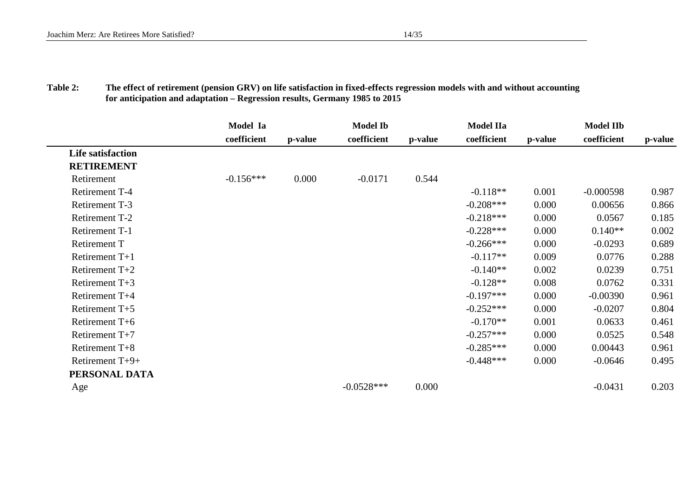| <b>Table 2:</b> | The effect of retirement (pension GRV) on life satisfaction in fixed-effects regression models with and without accounting |
|-----------------|----------------------------------------------------------------------------------------------------------------------------|
|                 | for anticipation and adaptation – Regression results, Germany 1985 to 2015                                                 |

|                          | Model Ia    |         | <b>Model Ib</b> |         | <b>Model IIa</b> |         | <b>Model IIb</b> |         |
|--------------------------|-------------|---------|-----------------|---------|------------------|---------|------------------|---------|
|                          | coefficient | p-value | coefficient     | p-value | coefficient      | p-value | coefficient      | p-value |
| <b>Life satisfaction</b> |             |         |                 |         |                  |         |                  |         |
| <b>RETIREMENT</b>        |             |         |                 |         |                  |         |                  |         |
| Retirement               | $-0.156***$ | 0.000   | $-0.0171$       | 0.544   |                  |         |                  |         |
| Retirement T-4           |             |         |                 |         | $-0.118**$       | 0.001   | $-0.000598$      | 0.987   |
| <b>Retirement T-3</b>    |             |         |                 |         | $-0.208***$      | 0.000   | 0.00656          | 0.866   |
| Retirement T-2           |             |         |                 |         | $-0.218***$      | 0.000   | 0.0567           | 0.185   |
| Retirement T-1           |             |         |                 |         | $-0.228***$      | 0.000   | $0.140**$        | 0.002   |
| <b>Retirement T</b>      |             |         |                 |         | $-0.266***$      | 0.000   | $-0.0293$        | 0.689   |
| Retirement $T+1$         |             |         |                 |         | $-0.117**$       | 0.009   | 0.0776           | 0.288   |
| Retirement $T+2$         |             |         |                 |         | $-0.140**$       | 0.002   | 0.0239           | 0.751   |
| Retirement $T+3$         |             |         |                 |         | $-0.128**$       | 0.008   | 0.0762           | 0.331   |
| Retirement T+4           |             |         |                 |         | $-0.197***$      | 0.000   | $-0.00390$       | 0.961   |
| Retirement $T+5$         |             |         |                 |         | $-0.252***$      | 0.000   | $-0.0207$        | 0.804   |
| Retirement T+6           |             |         |                 |         | $-0.170**$       | 0.001   | 0.0633           | 0.461   |
| Retirement $T+7$         |             |         |                 |         | $-0.257***$      | 0.000   | 0.0525           | 0.548   |
| Retirement $T+8$         |             |         |                 |         | $-0.285***$      | 0.000   | 0.00443          | 0.961   |
| Retirement T+9+          |             |         |                 |         | $-0.448***$      | 0.000   | $-0.0646$        | 0.495   |
| PERSONAL DATA            |             |         |                 |         |                  |         |                  |         |
| Age                      |             |         | $-0.0528***$    | 0.000   |                  |         | $-0.0431$        | 0.203   |
|                          |             |         |                 |         |                  |         |                  |         |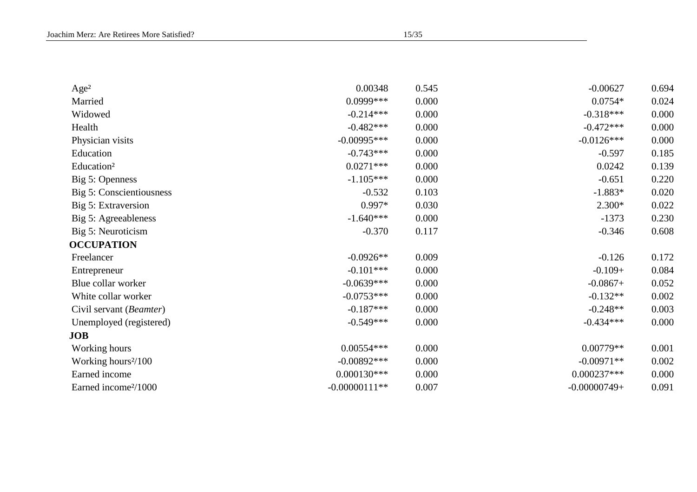| Age <sup>2</sup>                 | 0.00348         | 0.545 | $-0.00627$     | 0.694 |
|----------------------------------|-----------------|-------|----------------|-------|
| Married                          | $0.0999***$     | 0.000 | $0.0754*$      | 0.024 |
| Widowed                          | $-0.214***$     | 0.000 | $-0.318***$    | 0.000 |
| Health                           | $-0.482***$     | 0.000 | $-0.472***$    | 0.000 |
| Physician visits                 | $-0.00995***$   | 0.000 | $-0.0126***$   | 0.000 |
| Education                        | $-0.743***$     | 0.000 | $-0.597$       | 0.185 |
| Education <sup>2</sup>           | $0.0271***$     | 0.000 | 0.0242         | 0.139 |
| Big 5: Openness                  | $-1.105***$     | 0.000 | $-0.651$       | 0.220 |
| Big 5: Conscientiousness         | $-0.532$        | 0.103 | $-1.883*$      | 0.020 |
| Big 5: Extraversion              | $0.997*$        | 0.030 | $2.300*$       | 0.022 |
| Big 5: Agreeableness             | $-1.640***$     | 0.000 | $-1373$        | 0.230 |
| Big 5: Neuroticism               | $-0.370$        | 0.117 | $-0.346$       | 0.608 |
| <b>OCCUPATION</b>                |                 |       |                |       |
| Freelancer                       | $-0.0926**$     | 0.009 | $-0.126$       | 0.172 |
| Entrepreneur                     | $-0.101***$     | 0.000 | $-0.109+$      | 0.084 |
| Blue collar worker               | $-0.0639***$    | 0.000 | $-0.0867+$     | 0.052 |
| White collar worker              | $-0.0753***$    | 0.000 | $-0.132**$     | 0.002 |
| Civil servant (Beamter)          | $-0.187***$     | 0.000 | $-0.248**$     | 0.003 |
| Unemployed (registered)          | $-0.549***$     | 0.000 | $-0.434***$    | 0.000 |
| <b>JOB</b>                       |                 |       |                |       |
| Working hours                    | $0.00554***$    | 0.000 | $0.00779**$    | 0.001 |
| Working hours <sup>2</sup> /100  | $-0.00892***$   | 0.000 | $-0.00971**$   | 0.002 |
| Earned income                    | $0.000130***$   | 0.000 | $0.000237***$  | 0.000 |
| Earned income <sup>2</sup> /1000 | $-0.00000111**$ | 0.007 | $-0.00000749+$ | 0.091 |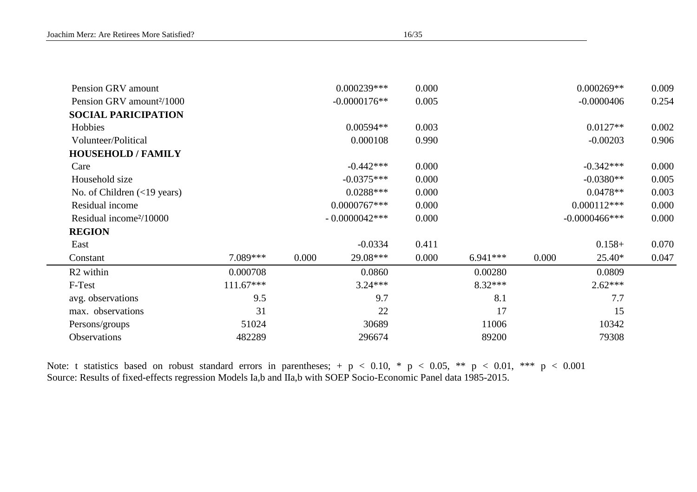| Pension GRV amount                            |             |       | $0.000239***$   | 0.000 |            |       | $0.000269**$     | 0.009 |
|-----------------------------------------------|-------------|-------|-----------------|-------|------------|-------|------------------|-------|
| Pension GRV amount <sup>2</sup> /1000         |             |       | $-0.0000176**$  | 0.005 |            |       | $-0.0000406$     | 0.254 |
| <b>SOCIAL PARICIPATION</b>                    |             |       |                 |       |            |       |                  |       |
| Hobbies                                       |             |       | $0.00594**$     | 0.003 |            |       | $0.0127**$       | 0.002 |
| Volunteer/Political                           |             |       | 0.000108        | 0.990 |            |       | $-0.00203$       | 0.906 |
| <b>HOUSEHOLD / FAMILY</b>                     |             |       |                 |       |            |       |                  |       |
| Care                                          |             |       | $-0.442***$     | 0.000 |            |       | $-0.342***$      | 0.000 |
| Household size                                |             |       | $-0.0375***$    | 0.000 |            |       | $-0.0380**$      | 0.005 |
| No. of Children $(\langle 19 \rangle)$ years) |             |       | $0.0288***$     | 0.000 |            |       | $0.0478**$       | 0.003 |
| Residual income                               |             |       | $0.0000767***$  | 0.000 |            |       | $0.000112***$    | 0.000 |
| Residual income <sup>2</sup> /10000           |             |       | $-0.0000042***$ | 0.000 |            |       | $-0.0000466$ *** | 0.000 |
| <b>REGION</b>                                 |             |       |                 |       |            |       |                  |       |
| East                                          |             |       | $-0.0334$       | 0.411 |            |       | $0.158+$         | 0.070 |
| Constant                                      | 7.089***    | 0.000 | 29.08***        | 0.000 | $6.941***$ | 0.000 | 25.40*           | 0.047 |
| R <sub>2</sub> within                         | 0.000708    |       | 0.0860          |       | 0.00280    |       | 0.0809           |       |
| F-Test                                        | $111.67***$ |       | $3.24***$       |       | $8.32***$  |       | $2.62***$        |       |
| avg. observations                             | 9.5         |       | 9.7             |       | 8.1        |       | 7.7              |       |
| max. observations                             | 31          |       | 22              |       | 17         |       | 15               |       |
| Persons/groups                                | 51024       |       | 30689           |       | 11006      |       | 10342            |       |
| Observations                                  | 482289      |       | 296674          |       | 89200      |       | 79308            |       |
|                                               |             |       |                 |       |            |       |                  |       |

Note: t statistics based on robust standard errors in parentheses; + p < 0.10, \* p < 0.05, \*\* p < 0.01, \*\*\* p < 0.001 Source: Results of fixed-effects regression Models Ia,b and IIa,b with SOEP Socio-Economic Panel data 1985-2015.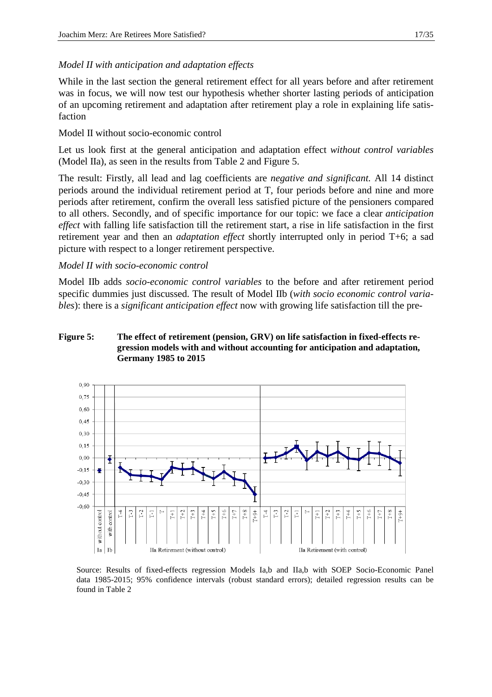#### *Model II with anticipation and adaptation effects*

While in the last section the general retirement effect for all years before and after retirement was in focus, we will now test our hypothesis whether shorter lasting periods of anticipation of an upcoming retirement and adaptation after retirement play a role in explaining life satisfaction

Model II without socio-economic control

Let us look first at the general anticipation and adaptation effect *without control variables*  (Model IIa), as seen in the results from Table 2 and Figure 5.

The result: Firstly, all lead and lag coefficients are *negative and significant.* All 14 distinct periods around the individual retirement period at T, four periods before and nine and more periods after retirement, confirm the overall less satisfied picture of the pensioners compared to all others. Secondly, and of specific importance for our topic: we face a clear *anticipation effect* with falling life satisfaction till the retirement start, a rise in life satisfaction in the first retirement year and then an *adaptation effect* shortly interrupted only in period T+6; a sad picture with respect to a longer retirement perspective.

#### *Model II with socio-economic control*

Model IIb adds *socio-economic control variables* to the before and after retirement period specific dummies just discussed. The result of Model IIb (*with socio economic control variables*): there is a *significant anticipation effect* now with growing life satisfaction till the pre-

### **Figure 5: The effect of retirement (pension, GRV) on life satisfaction in fixed-effects regression models with and without accounting for anticipation and adaptation, Germany 1985 to 2015**



 Source: Results of fixed-effects regression Models Ia,b and IIa,b with SOEP Socio-Economic Panel data 1985-2015; 95% confidence intervals (robust standard errors); detailed regression results can be found in Table 2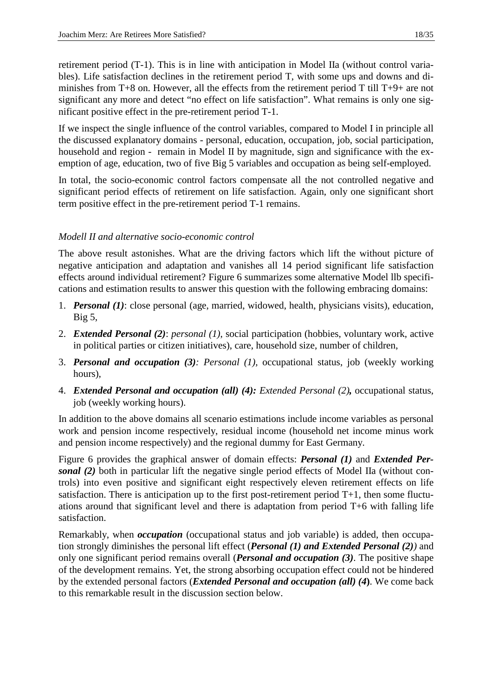retirement period (T-1). This is in line with anticipation in Model IIa (without control variables). Life satisfaction declines in the retirement period T, with some ups and downs and diminishes from T+8 on. However, all the effects from the retirement period T till T+9+ are not significant any more and detect "no effect on life satisfaction". What remains is only one significant positive effect in the pre-retirement period T-1.

If we inspect the single influence of the control variables, compared to Model I in principle all the discussed explanatory domains - personal, education, occupation, job, social participation, household and region - remain in Model II by magnitude, sign and significance with the exemption of age, education, two of five Big 5 variables and occupation as being self-employed.

In total, the socio-economic control factors compensate all the not controlled negative and significant period effects of retirement on life satisfaction. Again, only one significant short term positive effect in the pre-retirement period T-1 remains.

# *Modell II and alternative socio-economic control*

The above result astonishes. What are the driving factors which lift the without picture of negative anticipation and adaptation and vanishes all 14 period significant life satisfaction effects around individual retirement? Figure 6 summarizes some alternative Model llb specifications and estimation results to answer this question with the following embracing domains:

- 1. *Personal (1)*: close personal (age, married, widowed, health, physicians visits), education, Big 5,
- 2. *Extended Personal (2)*: *personal (1)*, social participation (hobbies, voluntary work, active in political parties or citizen initiatives), care, household size, number of children,
- 3. *Personal and occupation (3): Personal (1),* occupational status, job (weekly working hours),
- 4. *Extended Personal and occupation (all) (4): Extended Personal (2),* occupational status, job (weekly working hours).

In addition to the above domains all scenario estimations include income variables as personal work and pension income respectively, residual income (household net income minus work and pension income respectively) and the regional dummy for East Germany.

Figure 6 provides the graphical answer of domain effects: *Personal (1)* and *Extended Personal (2)* both in particular lift the negative single period effects of Model IIa (without controls) into even positive and significant eight respectively eleven retirement effects on life satisfaction. There is anticipation up to the first post-retirement period  $T+1$ , then some fluctuations around that significant level and there is adaptation from period T+6 with falling life satisfaction.

Remarkably, when *occupation* (occupational status and job variable) is added, then occupation strongly diminishes the personal lift effect (*Personal (1) and Extended Personal (2))* and only one significant period remains overall (*Personal and occupation (3)*. The positive shape of the development remains. Yet, the strong absorbing occupation effect could not be hindered by the extended personal factors (*Extended Personal and occupation (all) (4***)**. We come back to this remarkable result in the discussion section below.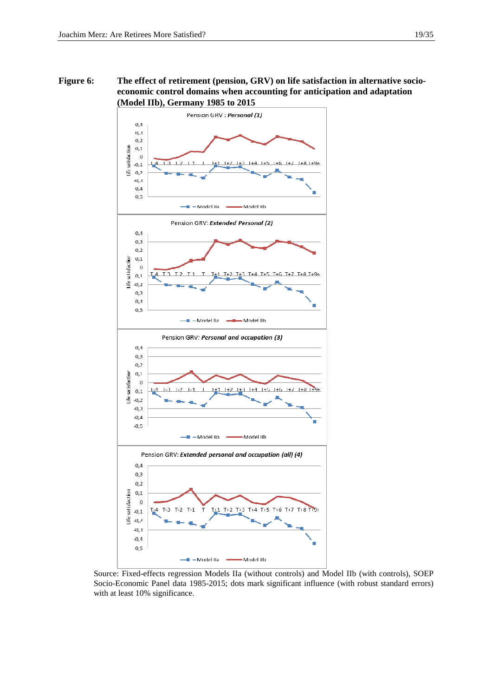

 Source: Fixed-effects regression Models IIa (without controls) and Model IIb (with controls), SOEP Socio-Economic Panel data 1985-2015; dots mark significant influence (with robust standard errors) with at least 10% significance.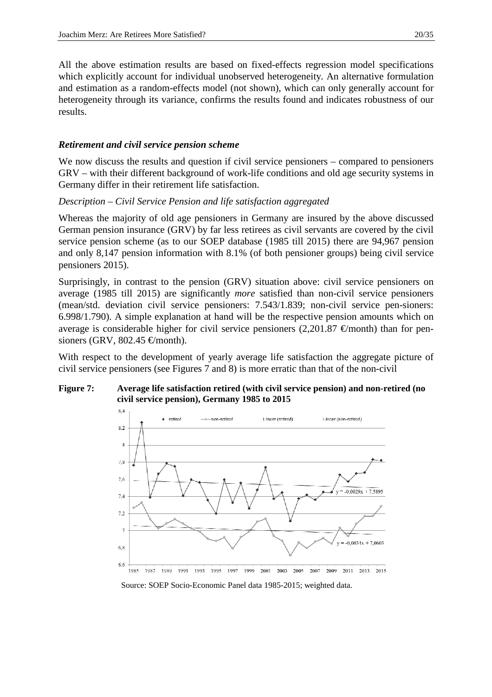All the above estimation results are based on fixed-effects regression model specifications which explicitly account for individual unobserved heterogeneity. An alternative formulation and estimation as a random-effects model (not shown), which can only generally account for heterogeneity through its variance, confirms the results found and indicates robustness of our results.

# *Retirement and civil service pension scheme*

We now discuss the results and question if civil service pensioners – compared to pensioners GRV – with their different background of work-life conditions and old age security systems in Germany differ in their retirement life satisfaction.

# *Description – Civil Service Pension and life satisfaction aggregated*

Whereas the majority of old age pensioners in Germany are insured by the above discussed German pension insurance (GRV) by far less retirees as civil servants are covered by the civil service pension scheme (as to our SOEP database (1985 till 2015) there are 94,967 pension and only 8,147 pension information with 8.1% (of both pensioner groups) being civil service pensioners 2015).

Surprisingly, in contrast to the pension (GRV) situation above: civil service pensioners on average (1985 till 2015) are significantly *more* satisfied than non-civil service pensioners (mean/std. deviation civil service pensioners: 7.543/1.839; non-civil service pen-sioners: 6.998/1.790). A simple explanation at hand will be the respective pension amounts which on average is considerable higher for civil service pensioners (2,201.87  $\epsilon$ /month) than for pensioners (GRV, 802.45  $\in$ /month).

With respect to the development of yearly average life satisfaction the aggregate picture of civil service pensioners (see Figures 7 and 8) is more erratic than that of the non-civil

#### **Figure 7: Average life satisfaction retired (with civil service pension) and non-retired (no civil service pension), Germany 1985 to 2015**

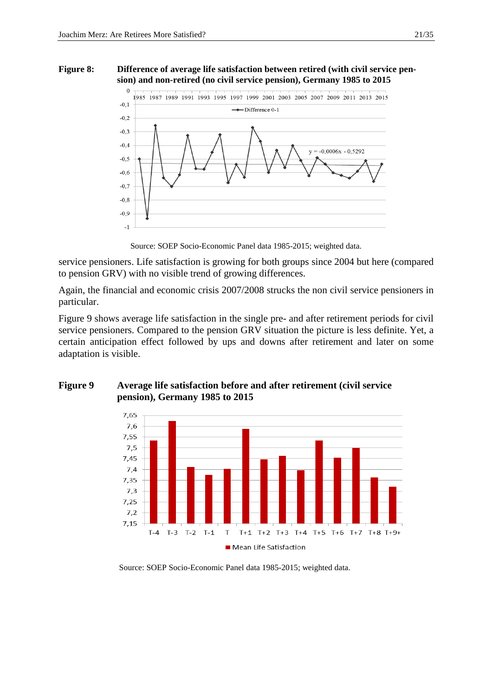#### **Figure 8: Difference of average life satisfaction between retired (with civil service pension) and non-retired (no civil service pension), Germany 1985 to 2015**



Source: SOEP Socio-Economic Panel data 1985-2015; weighted data.

service pensioners. Life satisfaction is growing for both groups since 2004 but here (compared to pension GRV) with no visible trend of growing differences.

Again, the financial and economic crisis 2007/2008 strucks the non civil service pensioners in particular.

Figure 9 shows average life satisfaction in the single pre- and after retirement periods for civil service pensioners. Compared to the pension GRV situation the picture is less definite. Yet, a certain anticipation effect followed by ups and downs after retirement and later on some adaptation is visible.



# **Figure 9 Average life satisfaction before and after retirement (civil service pension), Germany 1985 to 2015**

Source: SOEP Socio-Economic Panel data 1985-2015; weighted data.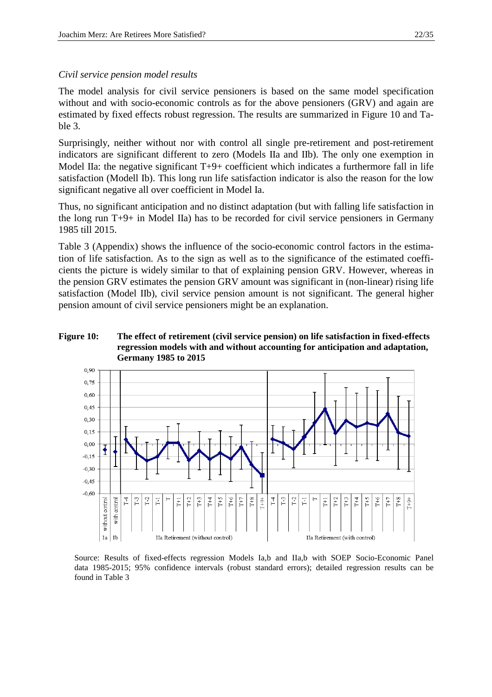#### *Civil service pension model results*

The model analysis for civil service pensioners is based on the same model specification without and with socio-economic controls as for the above pensioners (GRV) and again are estimated by fixed effects robust regression. The results are summarized in Figure 10 and Table 3.

Surprisingly, neither without nor with control all single pre-retirement and post-retirement indicators are significant different to zero (Models IIa and IIb). The only one exemption in Model IIa: the negative significant  $T+9+$  coefficient which indicates a furthermore fall in life satisfaction (Modell Ib). This long run life satisfaction indicator is also the reason for the low significant negative all over coefficient in Model Ia.

Thus, no significant anticipation and no distinct adaptation (but with falling life satisfaction in the long run T+9+ in Model IIa) has to be recorded for civil service pensioners in Germany 1985 till 2015.

Table 3 (Appendix) shows the influence of the socio-economic control factors in the estimation of life satisfaction. As to the sign as well as to the significance of the estimated coefficients the picture is widely similar to that of explaining pension GRV. However, whereas in the pension GRV estimates the pension GRV amount was significant in (non-linear) rising life satisfaction (Model IIb), civil service pension amount is not significant. The general higher pension amount of civil service pensioners might be an explanation.

#### **Figure 10: The effect of retirement (civil service pension) on life satisfaction in fixed-effects regression models with and without accounting for anticipation and adaptation, Germany 1985 to 2015**



 Source: Results of fixed-effects regression Models Ia,b and IIa,b with SOEP Socio-Economic Panel data 1985-2015; 95% confidence intervals (robust standard errors); detailed regression results can be found in Table 3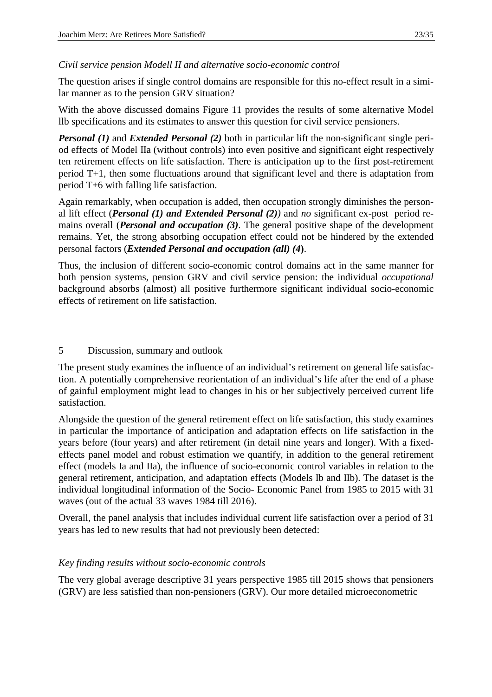# *Civil service pension Modell II and alternative socio-economic control*

The question arises if single control domains are responsible for this no-effect result in a similar manner as to the pension GRV situation?

With the above discussed domains Figure 11 provides the results of some alternative Model llb specifications and its estimates to answer this question for civil service pensioners.

*Personal (1)* and *Extended Personal (2)* both in particular lift the non-significant single period effects of Model IIa (without controls) into even positive and significant eight respectively ten retirement effects on life satisfaction. There is anticipation up to the first post-retirement period T+1, then some fluctuations around that significant level and there is adaptation from period T+6 with falling life satisfaction.

Again remarkably, when occupation is added, then occupation strongly diminishes the personal lift effect (*Personal (1) and Extended Personal (2))* and *no* significant ex-post period remains overall (*Personal and occupation (3)*. The general positive shape of the development remains. Yet, the strong absorbing occupation effect could not be hindered by the extended personal factors (*Extended Personal and occupation (all) (4***)**.

Thus, the inclusion of different socio-economic control domains act in the same manner for both pension systems, pension GRV and civil service pension: the individual *occupational* background absorbs (almost) all positive furthermore significant individual socio-economic effects of retirement on life satisfaction.

# 5 Discussion, summary and outlook

The present study examines the influence of an individual's retirement on general life satisfaction. A potentially comprehensive reorientation of an individual's life after the end of a phase of gainful employment might lead to changes in his or her subjectively perceived current life satisfaction.

Alongside the question of the general retirement effect on life satisfaction, this study examines in particular the importance of anticipation and adaptation effects on life satisfaction in the years before (four years) and after retirement (in detail nine years and longer). With a fixedeffects panel model and robust estimation we quantify, in addition to the general retirement effect (models Ia and IIa), the influence of socio-economic control variables in relation to the general retirement, anticipation, and adaptation effects (Models Ib and IIb). The dataset is the individual longitudinal information of the Socio- Economic Panel from 1985 to 2015 with 31 waves (out of the actual 33 waves 1984 till 2016).

Overall, the panel analysis that includes individual current life satisfaction over a period of 31 years has led to new results that had not previously been detected:

## *Key finding results without socio-economic controls*

The very global average descriptive 31 years perspective 1985 till 2015 shows that pensioners (GRV) are less satisfied than non-pensioners (GRV). Our more detailed microeconometric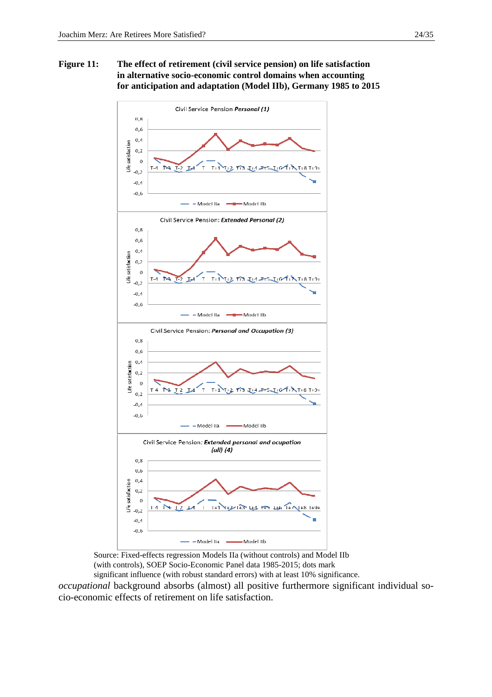

 Source: Fixed-effects regression Models IIa (without controls) and Model IIb (with controls), SOEP Socio-Economic Panel data 1985-2015; dots mark significant influence (with robust standard errors) with at least 10% significance.

*occupational* background absorbs (almost) all positive furthermore significant individual socio-economic effects of retirement on life satisfaction.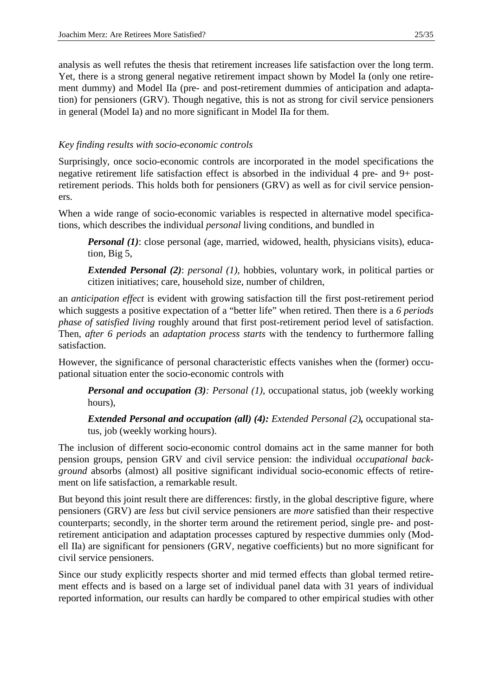analysis as well refutes the thesis that retirement increases life satisfaction over the long term. Yet, there is a strong general negative retirement impact shown by Model Ia (only one retirement dummy) and Model IIa (pre- and post-retirement dummies of anticipation and adaptation) for pensioners (GRV). Though negative, this is not as strong for civil service pensioners in general (Model Ia) and no more significant in Model IIa for them.

# *Key finding results with socio-economic controls*

Surprisingly, once socio-economic controls are incorporated in the model specifications the negative retirement life satisfaction effect is absorbed in the individual 4 pre- and 9+ postretirement periods. This holds both for pensioners (GRV) as well as for civil service pensioners.

When a wide range of socio-economic variables is respected in alternative model specifications, which describes the individual *personal* living conditions, and bundled in

*Personal (1)*: close personal (age, married, widowed, health, physicians visits), education, Big 5,

*Extended Personal (2)*: *personal (1)*, hobbies, voluntary work, in political parties or citizen initiatives; care, household size, number of children,

an *anticipation effect* is evident with growing satisfaction till the first post-retirement period which suggests a positive expectation of a "better life" when retired. Then there is a *6 periods phase of satisfied living* roughly around that first post-retirement period level of satisfaction. Then, *after 6 periods* an *adaptation process starts* with the tendency to furthermore falling satisfaction.

However, the significance of personal characteristic effects vanishes when the (former) occupational situation enter the socio-economic controls with

*Personal and occupation (3): Personal (1),* occupational status, job (weekly working hours),

*Extended Personal and occupation (all) (4): Extended Personal (2),* occupational status, job (weekly working hours).

The inclusion of different socio-economic control domains act in the same manner for both pension groups, pension GRV and civil service pension: the individual *occupational background* absorbs (almost) all positive significant individual socio-economic effects of retirement on life satisfaction, a remarkable result.

But beyond this joint result there are differences: firstly, in the global descriptive figure, where pensioners (GRV) are *less* but civil service pensioners are *more* satisfied than their respective counterparts; secondly, in the shorter term around the retirement period, single pre- and postretirement anticipation and adaptation processes captured by respective dummies only (Modell IIa) are significant for pensioners (GRV, negative coefficients) but no more significant for civil service pensioners.

Since our study explicitly respects shorter and mid termed effects than global termed retirement effects and is based on a large set of individual panel data with 31 years of individual reported information, our results can hardly be compared to other empirical studies with other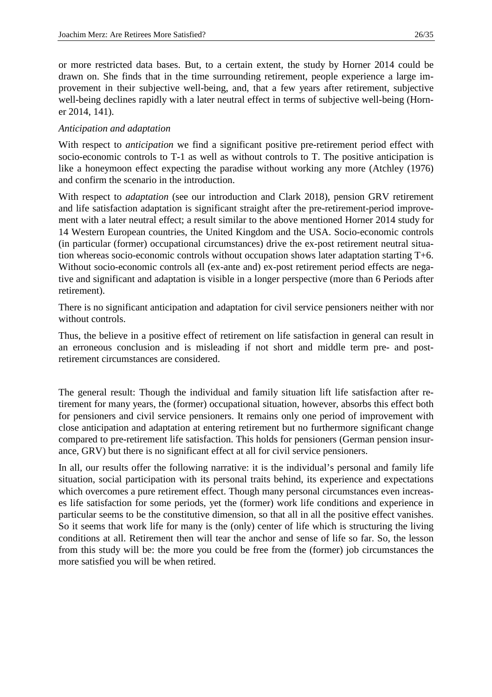or more restricted data bases. But, to a certain extent, the study by Horner 2014 could be drawn on. She finds that in the time surrounding retirement, people experience a large improvement in their subjective well-being, and, that a few years after retirement, subjective well-being declines rapidly with a later neutral effect in terms of subjective well-being (Horner 2014, 141).

# *Anticipation and adaptation*

With respect to *anticipation* we find a significant positive pre-retirement period effect with socio-economic controls to T-1 as well as without controls to T. The positive anticipation is like a honeymoon effect expecting the paradise without working any more (Atchley (1976) and confirm the scenario in the introduction.

With respect to *adaptation* (see our introduction and Clark 2018), pension GRV retirement and life satisfaction adaptation is significant straight after the pre-retirement-period improvement with a later neutral effect; a result similar to the above mentioned Horner 2014 study for 14 Western European countries, the United Kingdom and the USA. Socio-economic controls (in particular (former) occupational circumstances) drive the ex-post retirement neutral situation whereas socio-economic controls without occupation shows later adaptation starting T+6. Without socio-economic controls all (ex-ante and) ex-post retirement period effects are negative and significant and adaptation is visible in a longer perspective (more than 6 Periods after retirement).

There is no significant anticipation and adaptation for civil service pensioners neither with nor without controls.

Thus, the believe in a positive effect of retirement on life satisfaction in general can result in an erroneous conclusion and is misleading if not short and middle term pre- and postretirement circumstances are considered.

The general result: Though the individual and family situation lift life satisfaction after retirement for many years, the (former) occupational situation, however, absorbs this effect both for pensioners and civil service pensioners. It remains only one period of improvement with close anticipation and adaptation at entering retirement but no furthermore significant change compared to pre-retirement life satisfaction. This holds for pensioners (German pension insurance, GRV) but there is no significant effect at all for civil service pensioners.

In all, our results offer the following narrative: it is the individual's personal and family life situation, social participation with its personal traits behind, its experience and expectations which overcomes a pure retirement effect. Though many personal circumstances even increases life satisfaction for some periods, yet the (former) work life conditions and experience in particular seems to be the constitutive dimension, so that all in all the positive effect vanishes. So it seems that work life for many is the (only) center of life which is structuring the living conditions at all. Retirement then will tear the anchor and sense of life so far. So, the lesson from this study will be: the more you could be free from the (former) job circumstances the more satisfied you will be when retired.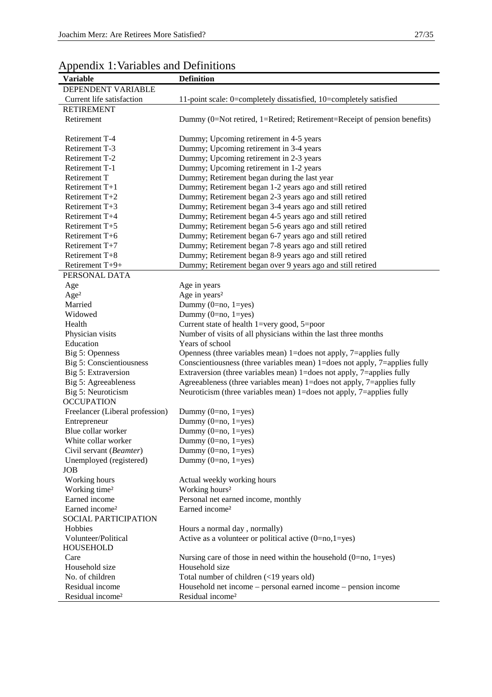| $\mathbf{r}$<br><b>Variable</b> | <b>Definition</b>                                                          |
|---------------------------------|----------------------------------------------------------------------------|
|                                 |                                                                            |
| DEPENDENT VARIABLE              |                                                                            |
| Current life satisfaction       | 11-point scale: 0=completely dissatisfied, 10=completely satisfied         |
| <b>RETIREMENT</b>               |                                                                            |
| Retirement                      | Dummy (0=Not retired, 1=Retired; Retirement=Receipt of pension benefits)   |
| Retirement T-4                  | Dummy; Upcoming retirement in 4-5 years                                    |
| Retirement T-3                  | Dummy; Upcoming retirement in 3-4 years                                    |
| Retirement T-2                  | Dummy; Upcoming retirement in 2-3 years                                    |
| Retirement T-1                  | Dummy; Upcoming retirement in 1-2 years                                    |
| Retirement T                    | Dummy; Retirement began during the last year                               |
| Retirement T+1                  | Dummy; Retirement began 1-2 years ago and still retired                    |
| Retirement T+2                  | Dummy; Retirement began 2-3 years ago and still retired                    |
| Retirement $T+3$                | Dummy; Retirement began 3-4 years ago and still retired                    |
| Retirement T+4                  | Dummy; Retirement began 4-5 years ago and still retired                    |
| Retirement T+5                  | Dummy; Retirement began 5-6 years ago and still retired                    |
| Retirement T+6                  | Dummy; Retirement began 6-7 years ago and still retired                    |
| Retirement T+7                  | Dummy; Retirement began 7-8 years ago and still retired                    |
| Retirement T+8                  | Dummy; Retirement began 8-9 years ago and still retired                    |
| Retirement T+9+                 | Dummy; Retirement began over 9 years ago and still retired                 |
| PERSONAL DATA                   |                                                                            |
| Age                             | Age in years                                                               |
| Age <sup>2</sup>                | Age in years <sup>2</sup>                                                  |
| Married                         | Dummy $(0=no, 1=yes)$                                                      |
| Widowed                         | Dummy (0=no, 1=yes)                                                        |
| Health                          | Current state of health $1 = \text{very good}, 5 = \text{poor}$            |
| Physician visits                | Number of visits of all physicians within the last three months            |
| Education                       | Years of school                                                            |
| Big 5: Openness                 | Openness (three variables mean) 1=does not apply, 7=applies fully          |
| Big 5: Conscientiousness        | Conscientiousness (three variables mean) 1=does not apply, 7=applies fully |
| Big 5: Extraversion             | Extraversion (three variables mean) 1=does not apply, 7=applies fully      |
| Big 5: Agreeableness            | Agreeableness (three variables mean) 1=does not apply, 7=applies fully     |
| Big 5: Neuroticism              | Neuroticism (three variables mean) 1=does not apply, 7=applies fully       |
| <b>OCCUPATION</b>               |                                                                            |
| Freelancer (Liberal profession) | Dummy $(0=no, 1=yes)$                                                      |
| Entrepreneur                    | Dummy (0=no, 1=yes)                                                        |
| Blue collar worker              | Dummy $(0=no, 1=yes)$                                                      |
| White collar worker             | Dummy $(0=no, 1=yes)$                                                      |
| Civil servant (Beamter)         | Dummy $(0=no, 1=yes)$                                                      |
| Unemployed (registered)         | Dummy $(0=no, 1=yes)$                                                      |
| <b>JOB</b>                      |                                                                            |
| Working hours                   | Actual weekly working hours                                                |
| Working time <sup>2</sup>       | Working hours <sup>2</sup>                                                 |
| Earned income                   | Personal net earned income, monthly                                        |
| Earned income <sup>2</sup>      | Earned income <sup>2</sup>                                                 |
| SOCIAL PARTICIPATION            |                                                                            |
| Hobbies                         | Hours a normal day, normally)                                              |
| Volunteer/Political             | Active as a volunteer or political active $(0=no,1=yes)$                   |
| <b>HOUSEHOLD</b>                |                                                                            |
| Care                            | Nursing care of those in need within the household $(0=no, 1=yes)$         |
| Household size                  | Household size                                                             |
| No. of children                 | Total number of children (<19 years old)                                   |
| Residual income                 | Household net income – personal earned income – pension income             |
| Residual income <sup>2</sup>    | Residual income <sup>2</sup>                                               |

# Appendix 1: Variables and Definitions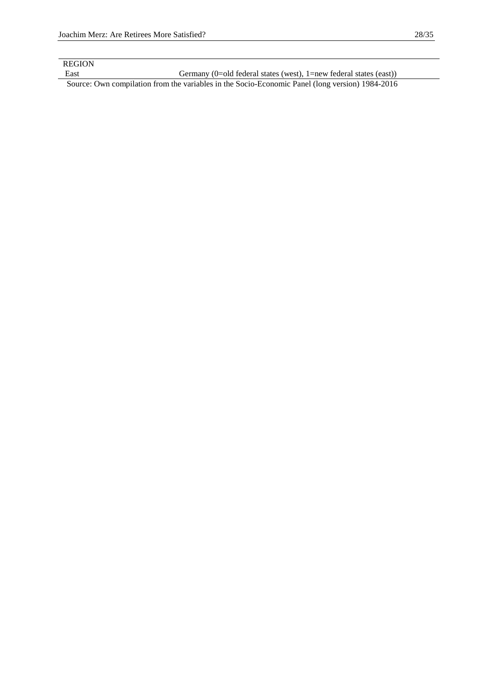REGION

East Germany (0=old federal states (west), 1=new federal states (east))

Source: Own compilation from the variables in the Socio-Economic Panel (long version) 1984-2016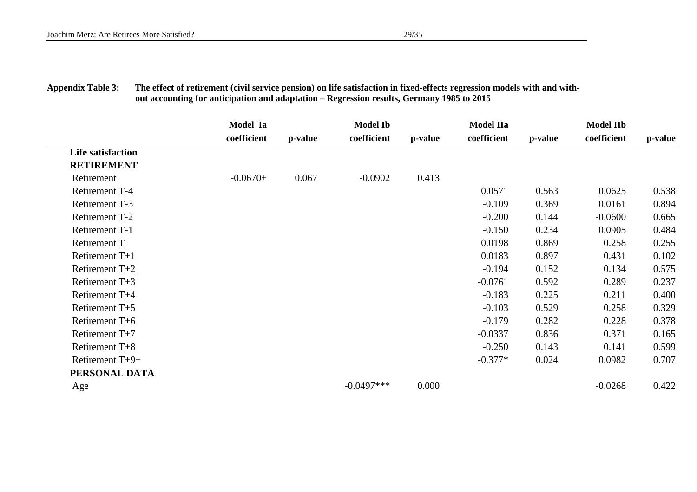# **Appendix Table 3: The effect of retirement (civil service pension) on life satisfaction in fixed-effects regression models with and with out accounting for anticipation and adaptation – Regression results, Germany 1985 to 2015**

|                          | Model Ia    |         | <b>Model Ib</b> |         | <b>Model IIa</b> |         | <b>Model IIb</b> |         |
|--------------------------|-------------|---------|-----------------|---------|------------------|---------|------------------|---------|
|                          | coefficient | p-value | coefficient     | p-value | coefficient      | p-value | coefficient      | p-value |
| <b>Life satisfaction</b> |             |         |                 |         |                  |         |                  |         |
| <b>RETIREMENT</b>        |             |         |                 |         |                  |         |                  |         |
| Retirement               | $-0.0670+$  | 0.067   | $-0.0902$       | 0.413   |                  |         |                  |         |
| Retirement T-4           |             |         |                 |         | 0.0571           | 0.563   | 0.0625           | 0.538   |
| Retirement T-3           |             |         |                 |         | $-0.109$         | 0.369   | 0.0161           | 0.894   |
| Retirement T-2           |             |         |                 |         | $-0.200$         | 0.144   | $-0.0600$        | 0.665   |
| Retirement T-1           |             |         |                 |         | $-0.150$         | 0.234   | 0.0905           | 0.484   |
| <b>Retirement T</b>      |             |         |                 |         | 0.0198           | 0.869   | 0.258            | 0.255   |
| Retirement $T+1$         |             |         |                 |         | 0.0183           | 0.897   | 0.431            | 0.102   |
| Retirement $T+2$         |             |         |                 |         | $-0.194$         | 0.152   | 0.134            | 0.575   |
| Retirement $T+3$         |             |         |                 |         | $-0.0761$        | 0.592   | 0.289            | 0.237   |
| Retirement T+4           |             |         |                 |         | $-0.183$         | 0.225   | 0.211            | 0.400   |
| Retirement T+5           |             |         |                 |         | $-0.103$         | 0.529   | 0.258            | 0.329   |
| Retirement T+6           |             |         |                 |         | $-0.179$         | 0.282   | 0.228            | 0.378   |
| Retirement $T+7$         |             |         |                 |         | $-0.0337$        | 0.836   | 0.371            | 0.165   |
| Retirement T+8           |             |         |                 |         | $-0.250$         | 0.143   | 0.141            | 0.599   |
| Retirement T+9+          |             |         |                 |         | $-0.377*$        | 0.024   | 0.0982           | 0.707   |
| PERSONAL DATA            |             |         |                 |         |                  |         |                  |         |
| Age                      |             |         | $-0.0497***$    | 0.000   |                  |         | $-0.0268$        | 0.422   |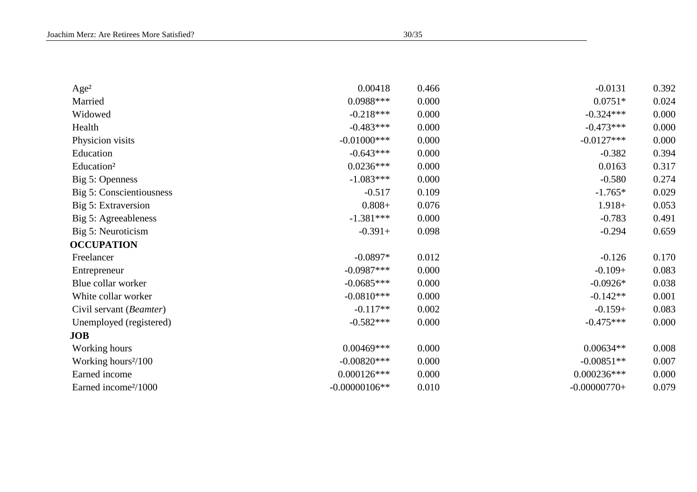| Age <sup>2</sup>                 | 0.00418         | 0.466 | $-0.0131$      | 0.392 |
|----------------------------------|-----------------|-------|----------------|-------|
| Married                          | $0.0988***$     | 0.000 | $0.0751*$      | 0.024 |
| Widowed                          | $-0.218***$     | 0.000 | $-0.324***$    | 0.000 |
| Health                           | $-0.483***$     | 0.000 | $-0.473***$    | 0.000 |
| Physicion visits                 | $-0.01000$ ***  | 0.000 | $-0.0127***$   | 0.000 |
| Education                        | $-0.643***$     | 0.000 | $-0.382$       | 0.394 |
| Education <sup>2</sup>           | $0.0236***$     | 0.000 | 0.0163         | 0.317 |
| Big 5: Openness                  | $-1.083***$     | 0.000 | $-0.580$       | 0.274 |
| Big 5: Conscientiousness         | $-0.517$        | 0.109 | $-1.765*$      | 0.029 |
| Big 5: Extraversion              | $0.808 +$       | 0.076 | $1.918+$       | 0.053 |
| Big 5: Agreeableness             | $-1.381***$     | 0.000 | $-0.783$       | 0.491 |
| Big 5: Neuroticism               | $-0.391+$       | 0.098 | $-0.294$       | 0.659 |
| <b>OCCUPATION</b>                |                 |       |                |       |
| Freelancer                       | $-0.0897*$      | 0.012 | $-0.126$       | 0.170 |
| Entrepreneur                     | $-0.0987***$    | 0.000 | $-0.109+$      | 0.083 |
| Blue collar worker               | $-0.0685***$    | 0.000 | $-0.0926*$     | 0.038 |
| White collar worker              | $-0.0810***$    | 0.000 | $-0.142**$     | 0.001 |
| Civil servant (Beamter)          | $-0.117**$      | 0.002 | $-0.159+$      | 0.083 |
| Unemployed (registered)          | $-0.582***$     | 0.000 | $-0.475***$    | 0.000 |
| <b>JOB</b>                       |                 |       |                |       |
| Working hours                    | $0.00469***$    | 0.000 | $0.00634**$    | 0.008 |
| Working hours <sup>2</sup> /100  | $-0.00820***$   | 0.000 | $-0.00851**$   | 0.007 |
| Earned income                    | $0.000126***$   | 0.000 | $0.000236***$  | 0.000 |
| Earned income <sup>2</sup> /1000 | $-0.00000106**$ | 0.010 | $-0.00000770+$ | 0.079 |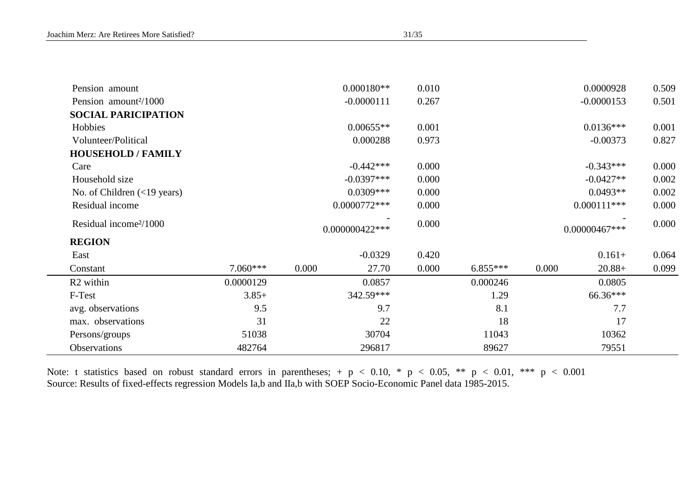| Pension amount                                |              |                 | $0.000180**$ | 0.010 |            |       | 0.0000928     | 0.509 |
|-----------------------------------------------|--------------|-----------------|--------------|-------|------------|-------|---------------|-------|
| Pension amount <sup>2</sup> /1000             |              | $-0.0000111$    |              |       |            |       | $-0.0000153$  | 0.501 |
| <b>SOCIAL PARICIPATION</b>                    |              |                 |              |       |            |       |               |       |
| Hobbies                                       |              |                 | $0.00655**$  | 0.001 |            |       | $0.0136***$   | 0.001 |
| Volunteer/Political                           |              |                 | 0.000288     | 0.973 |            |       | $-0.00373$    | 0.827 |
| <b>HOUSEHOLD / FAMILY</b>                     |              |                 |              |       |            |       |               |       |
| Care                                          |              |                 | $-0.442***$  | 0.000 |            |       | $-0.343***$   | 0.000 |
| Household size                                | $-0.0397***$ |                 |              | 0.000 |            |       | $-0.0427**$   | 0.002 |
| No. of Children $(\langle 19 \rangle)$ years) |              |                 | $0.0309***$  | 0.000 |            |       | $0.0493**$    | 0.002 |
| Residual income                               |              | $0.0000772***$  |              |       |            |       | $0.000111***$ | 0.000 |
| Residual income <sup>2</sup> /1000            |              | 0.000000422 *** |              | 0.000 |            |       | 0.00000467*** | 0.000 |
| <b>REGION</b>                                 |              |                 |              |       |            |       |               |       |
| East                                          |              |                 | $-0.0329$    | 0.420 |            |       | $0.161+$      | 0.064 |
| Constant                                      | $7.060***$   | 0.000           | 27.70        | 0.000 | $6.855***$ | 0.000 | $20.88+$      | 0.099 |
| R <sub>2</sub> within                         | 0.0000129    |                 | 0.0857       |       | 0.000246   |       | 0.0805        |       |
| F-Test                                        | $3.85+$      | 342.59***       |              |       | 1.29       |       | 66.36***      |       |
| avg. observations                             | 9.5          | 9.7             |              |       | 8.1        |       | 7.7           |       |
| max. observations                             | 31           | 22              |              |       | 18         |       | 17            |       |
| Persons/groups                                | 51038        |                 | 30704        |       | 11043      |       | 10362         |       |
| Observations                                  | 482764       |                 | 296817       |       | 89627      |       | 79551         |       |

Note: t statistics based on robust standard errors in parentheses;  $+$  p  $<$  0.10,  $*$  p  $<$  0.05,  $**$  p  $<$  0.01,  $***$  p  $<$  0.001

Source: Results of fixed-effects regression Models Ia,b and IIa,b with SOEP Socio-Economic Panel data 1985-2015.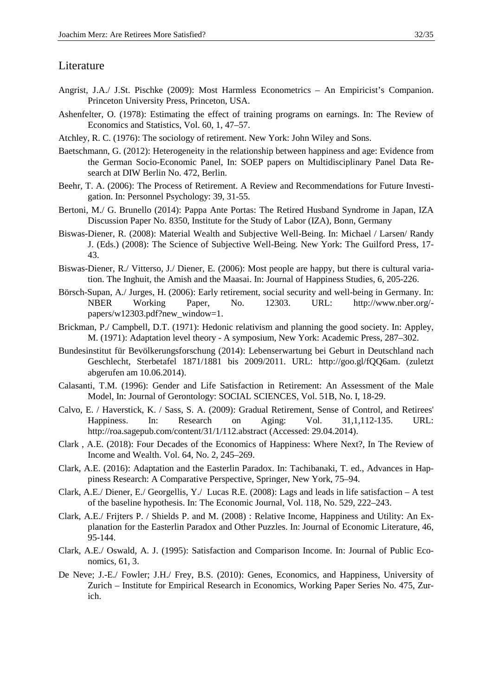# Literature

- Angrist, J.A./ J.St. Pischke (2009): Most Harmless Econometrics An Empiricist's Companion. Princeton University Press, Princeton, USA.
- Ashenfelter, O. (1978): Estimating the effect of training programs on earnings. In: The Review of Economics and Statistics, Vol. 60, 1, 47–57.
- Atchley, R. C. (1976): The sociology of retirement. New York: John Wiley and Sons.
- Baetschmann, G. (2012): Heterogeneity in the relationship between happiness and age: Evidence from the German Socio-Economic Panel, In: SOEP papers on Multidisciplinary Panel Data Research at DIW Berlin No. 472, Berlin.
- Beehr, T. A. (2006): The Process of Retirement. A Review and Recommendations for Future Investigation. In: Personnel Psychology: 39, 31-55.
- Bertoni, M./ G. Brunello (2014): Pappa Ante Portas: The Retired Husband Syndrome in Japan, IZA Discussion Paper No. 8350, Institute for the Study of Labor (IZA), Bonn, Germany
- Biswas-Diener, R. (2008): Material Wealth and Subjective Well-Being. In: Michael / Larsen/ Randy J. (Eds.) (2008): The Science of Subjective Well-Being. New York: The Guilford Press, 17- 43.
- Biswas-Diener, R./ Vitterso, J./ Diener, E. (2006): Most people are happy, but there is cultural variation. The Inghuit, the Amish and the Maasai. In: Journal of Happiness Studies, 6, 205-226.
- Börsch-Supan, A./ Jurges, H. (2006): Early retirement, social security and well-being in Germany. In:<br>NBER Working Paper. No. 12303. URL: http://www.nber.org/-NBER Working Paper, No. 12303. URL: http://www.nber.org/ papers/w12303.pdf?new\_window=1.
- Brickman, P./ Campbell, D.T. (1971): Hedonic relativism and planning the good society. In: Appley, M. (1971): Adaptation level theory - A symposium, New York: Academic Press, 287–302.
- Bundesinstitut für Bevölkerungsforschung (2014): Lebenserwartung bei Geburt in Deutschland nach Geschlecht, Sterbetafel 1871/1881 bis 2009/2011. URL: http://goo.gl/fQQ6am. (zuletzt abgerufen am 10.06.2014).
- Calasanti, T.M. (1996): Gender and Life Satisfaction in Retirement: An Assessment of the Male Model, In: Journal of Gerontology: SOCIAL SCIENCES, Vol. 51B, No. I, 18-29.
- Calvo, E. / Haverstick, K. / Sass, S. A. (2009): Gradual Retirement, Sense of Control, and Retirees' Happiness. In: Research on Aging: Vol. 31,1,112-135. URL: http://roa.sagepub.com/content/31/1/112.abstract (Accessed: 29.04.2014).
- Clark , A.E. (2018): Four Decades of the Economics of Happiness: Where Next?, In The Review of Income and Wealth. Vol. 64, No. 2, 245–269.
- Clark, A.E. (2016): Adaptation and the Easterlin Paradox. In: Tachibanaki, T. ed., Advances in Happiness Research: A Comparative Perspective, Springer, New York, 75–94.
- Clark, A.E./ Diener, E./ Georgellis, Y./ Lucas R.E. (2008): Lags and leads in life satisfaction A test of the baseline hypothesis. In: The Economic Journal, Vol. 118, No. 529, 222–243.
- Clark, A.E./ Frijters P. / Shields P. and M. (2008) : Relative Income, Happiness and Utility: An Explanation for the Easterlin Paradox and Other Puzzles. In: Journal of Economic Literature, 46, 95-144.
- Clark, A.E./ Oswald, A. J. (1995): Satisfaction and Comparison Income. In: Journal of Public Economics, 61, 3.
- De Neve; J.-E./ Fowler; J.H./ Frey, B.S. (2010): Genes, Economics, and Happiness, University of Zurich – Institute for Empirical Research in Economics, Working Paper Series No. 475, Zurich.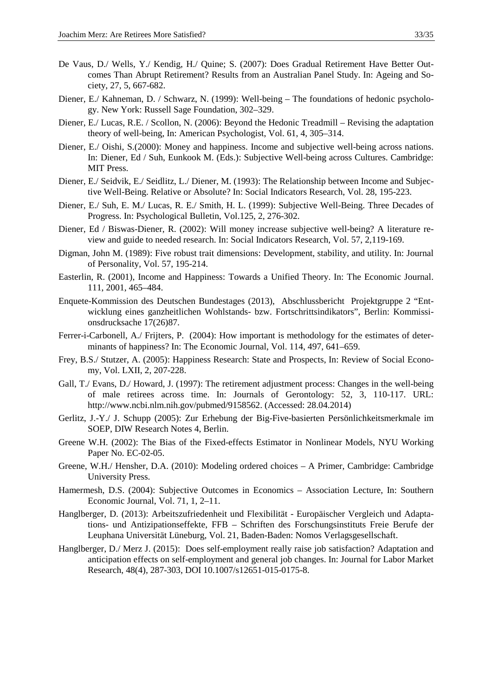- De Vaus, D./ Wells, Y./ Kendig, H./ Quine; S. (2007): Does Gradual Retirement Have Better Outcomes Than Abrupt Retirement? Results from an Australian Panel Study. In: Ageing and Society, 27, 5, 667-682.
- Diener, E./ Kahneman, D. / Schwarz, N. (1999): Well-being The foundations of hedonic psychology. New York: Russell Sage Foundation, 302–329.
- Diener, E./ Lucas, R.E. / Scollon, N. (2006): Beyond the Hedonic Treadmill Revising the adaptation theory of well-being, In: American Psychologist, Vol. 61, 4, 305–314.
- Diener, E./ Oishi, S.(2000): Money and happiness. Income and subjective well-being across nations. In: Diener, Ed / Suh, Eunkook M. (Eds.): Subjective Well-being across Cultures. Cambridge: MIT Press.
- Diener, E./ Seidvik, E./ Seidlitz, L./ Diener, M. (1993): The Relationship between Income and Subjective Well-Being. Relative or Absolute? In: Social Indicators Research, Vol. 28, 195-223.
- Diener, E./ Suh, E. M./ Lucas, R. E./ Smith, H. L. (1999): Subjective Well-Being. Three Decades of Progress. In: Psychological Bulletin, Vol.125, 2, 276-302.
- Diener, Ed / Biswas-Diener, R. (2002): Will money increase subjective well-being? A literature review and guide to needed research. In: Social Indicators Research, Vol. 57, 2,119-169.
- Digman, John M. (1989): Five robust trait dimensions: Development, stability, and utility. In: Journal of Personality, Vol. 57, 195-214.
- Easterlin, R. (2001), Income and Happiness: Towards a Unified Theory. In: The Economic Journal. 111, 2001, 465–484.
- Enquete-Kommission des Deutschen Bundestages (2013), Abschlussbericht Projektgruppe 2 "Entwicklung eines ganzheitlichen Wohlstands- bzw. Fortschrittsindikators", Berlin: Kommissionsdrucksache 17(26)87.
- Ferrer-i-Carbonell, A./ Frijters, P. (2004): How important is methodology for the estimates of determinants of happiness? In: The Economic Journal, Vol. 114, 497, 641–659.
- Frey, B.S./ Stutzer, A. (2005): Happiness Research: State and Prospects, In: Review of Social Economy, Vol. LXII, 2, 207-228.
- Gall, T./ Evans, D./ Howard, J. (1997): The retirement adjustment process: Changes in the well-being of male retirees across time. In: Journals of Gerontology: 52, 3, 110-117. URL: http://www.ncbi.nlm.nih.gov/pubmed/9158562. (Accessed: 28.04.2014)
- Gerlitz, J.-Y./ J. Schupp (2005): Zur Erhebung der Big-Five-basierten Persönlichkeitsmerkmale im SOEP, DIW Research Notes 4, Berlin.
- Greene W.H. (2002): The Bias of the Fixed-effects Estimator in Nonlinear Models, NYU Working Paper No. EC-02-05.
- Greene, W.H./ Hensher, D.A. (2010): Modeling ordered choices A Primer, Cambridge: Cambridge University Press.
- Hamermesh, D.S. (2004): Subjective Outcomes in Economics Association Lecture, In: Southern Economic Journal, Vol. 71, 1, 2–11.
- Hanglberger, D. (2013): Arbeitszufriedenheit und Flexibilität Europäischer Vergleich und Adaptations- und Antizipationseffekte, FFB – Schriften des Forschungsinstituts Freie Berufe der Leuphana Universität Lüneburg, Vol. 21, Baden-Baden: Nomos Verlagsgesellschaft.
- Hanglberger, D./ Merz J. (2015): Does self-employment really raise job satisfaction? Adaptation and anticipation effects on self-employment and general job changes. In: Journal for Labor Market Research, 48(4), 287-303, DOI 10.1007/s12651-015-0175-8.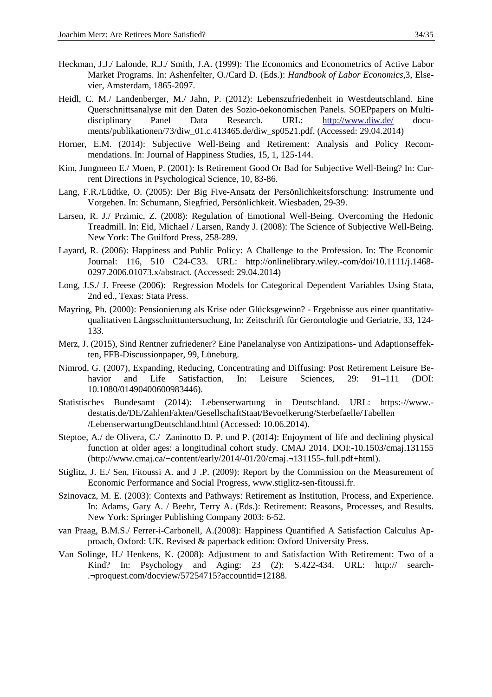- Heckman, J.J./ Lalonde, R.J./ Smith, J.A. (1999): The Economics and Econometrics of Active Labor Market Programs. In: Ashenfelter, O./Card D. (Eds.): *Handbook of Labor Economics*,3, Elsevier, Amsterdam, 1865-2097.
- Heidl, C. M./ Landenberger, M./ Jahn, P. (2012): Lebenszufriedenheit in Westdeutschland. Eine Querschnittsanalyse mit den Daten des Sozio-öekonomischen Panels. SOEPpapers on Multidisciplinary Panel Data Research. URL: http://www.diw.de/ documents/publikationen/73/diw\_01.c.413465.de/diw\_sp0521.pdf. (Accessed: 29.04.2014)
- Horner, E.M. (2014): Subjective Well-Being and Retirement: Analysis and Policy Recommendations. In: Journal of Happiness Studies, 15, 1, 125-144.
- Kim, Jungmeen E./ Moen, P. (2001): Is Retirement Good Or Bad for Subjective Well-Being? In: Current Directions in Psychological Science, 10, 83-86.
- Lang, F.R./Lüdtke, O. (2005): Der Big Five-Ansatz der Persönlichkeitsforschung: Instrumente und Vorgehen. In: Schumann, Siegfried, Persönlichkeit. Wiesbaden, 29-39.
- Larsen, R. J./ Przimic, Z. (2008): Regulation of Emotional Well-Being. Overcoming the Hedonic Treadmill. In: Eid, Michael / Larsen, Randy J. (2008): The Science of Subjective Well-Being. New York: The Guilford Press, 258-289.
- Layard, R. (2006): Happiness and Public Policy: A Challenge to the Profession. In: The Economic Journal: 116, 510 C24-C33. URL: http://onlinelibrary.wiley.-com/doi/10.1111/j.1468- 0297.2006.01073.x/abstract. (Accessed: 29.04.2014)
- Long, J.S./ J. Freese (2006): Regression Models for Categorical Dependent Variables Using Stata, 2nd ed., Texas: Stata Press.
- Mayring, Ph. (2000): Pensionierung als Krise oder Glücksgewinn? Ergebnisse aus einer quantitativqualitativen Längsschnittuntersuchung, In: Zeitschrift für Gerontologie und Geriatrie, 33, 124- 133.
- Merz, J. (2015), Sind Rentner zufriedener? Eine Panelanalyse von Antizipations- und Adaptionseffekten, FFB-Discussionpaper, 99, Lüneburg.
- Nimrod, G. (2007), Expanding, Reducing, Concentrating and Diffusing: Post Retirement Leisure Behavior and Life Satisfaction, In: Leisure Sciences, 29: 91-111 (DOI: 10.1080/01490400600983446).
- Statistisches Bundesamt (2014): Lebenserwartung in Deutschland. URL: https:-//www. destatis.de/DE/ZahlenFakten/GesellschaftStaat/Bevoelkerung/Sterbefaelle/Tabellen /LebenserwartungDeutschland.html (Accessed: 10.06.2014).
- Steptoe, A./ de Olivera, C./ Zaninotto D. P. und P. (2014): Enjoyment of life and declining physical function at older ages: a longitudinal cohort study. CMAJ 2014. DOI:-10.1503/cmaj.131155 (http://www.cmaj.ca/¬content/early/2014/-01/20/cmaj.¬131155-.full.pdf+html).
- Stiglitz, J. E./ Sen, Fitoussi A. and J .P. (2009): Report by the Commission on the Measurement of Economic Performance and Social Progress, www.stiglitz-sen-fitoussi.fr.
- Szinovacz, M. E. (2003): Contexts and Pathways: Retirement as Institution, Process, and Experience. In: Adams, Gary A. / Beehr, Terry A. (Eds.): Retirement: Reasons, Processes, and Results. New York: Springer Publishing Company 2003: 6-52.
- van Praag, B.M.S./ Ferrer-i-Carbonell, A.(2008): Happiness Quantified A Satisfaction Calculus Approach, Oxford: UK. Revised & paperback edition: Oxford University Press.
- Van Solinge, H./ Henkens, K. (2008): Adjustment to and Satisfaction With Retirement: Two of a Kind? In: Psychology and Aging: 23 (2): S.422-434. URL: http:// search- .¬proquest.com/docview/57254715?accountid=12188.